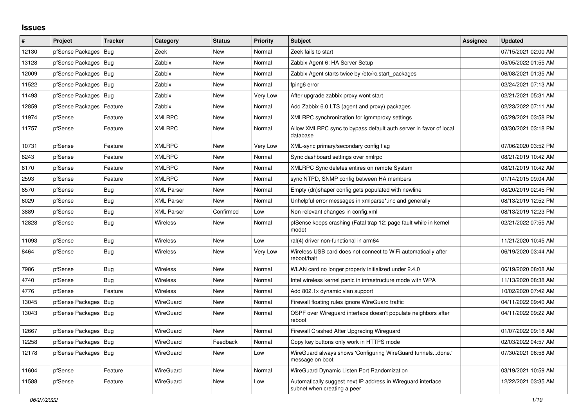## **Issues**

| #     | Project                    | <b>Tracker</b> | Category          | <b>Status</b> | <b>Priority</b> | <b>Subject</b>                                                                              | Assignee | <b>Updated</b>      |
|-------|----------------------------|----------------|-------------------|---------------|-----------------|---------------------------------------------------------------------------------------------|----------|---------------------|
| 12130 | pfSense Packages           | Bug            | Zeek              | New           | Normal          | Zeek fails to start                                                                         |          | 07/15/2021 02:00 AM |
| 13128 | pfSense Packages   Bug     |                | Zabbix            | New           | Normal          | Zabbix Agent 6: HA Server Setup                                                             |          | 05/05/2022 01:55 AM |
| 12009 | pfSense Packages   Bug     |                | Zabbix            | New           | Normal          | Zabbix Agent starts twice by /etc/rc.start_packages                                         |          | 06/08/2021 01:35 AM |
| 11522 | pfSense Packages   Bug     |                | Zabbix            | New           | Normal          | fping6 error                                                                                |          | 02/24/2021 07:13 AM |
| 11493 | pfSense Packages           | l Bug          | Zabbix            | New           | Very Low        | After upgrade zabbix proxy wont start                                                       |          | 02/21/2021 05:31 AM |
| 12859 | pfSense Packages   Feature |                | Zabbix            | <b>New</b>    | Normal          | Add Zabbix 6.0 LTS (agent and proxy) packages                                               |          | 02/23/2022 07:11 AM |
| 11974 | pfSense                    | Feature        | <b>XMLRPC</b>     | New           | Normal          | XMLRPC synchronization for igmmproxy settings                                               |          | 05/29/2021 03:58 PM |
| 11757 | pfSense                    | Feature        | <b>XMLRPC</b>     | <b>New</b>    | Normal          | Allow XMLRPC sync to bypass default auth server in favor of local<br>database               |          | 03/30/2021 03:18 PM |
| 10731 | pfSense                    | Feature        | <b>XMLRPC</b>     | New           | Very Low        | XML-sync primary/secondary config flag                                                      |          | 07/06/2020 03:52 PM |
| 8243  | pfSense                    | Feature        | <b>XMLRPC</b>     | New           | Normal          | Sync dashboard settings over xmlrpc                                                         |          | 08/21/2019 10:42 AM |
| 8170  | pfSense                    | Feature        | <b>XMLRPC</b>     | New           | Normal          | XMLRPC Sync deletes entires on remote System                                                |          | 08/21/2019 10:42 AM |
| 2593  | pfSense                    | Feature        | <b>XMLRPC</b>     | New           | Normal          | sync NTPD, SNMP config between HA members                                                   |          | 01/14/2015 09:04 AM |
| 8570  | pfSense                    | <b>Bug</b>     | <b>XML Parser</b> | New           | Normal          | Empty (dn)shaper config gets populated with newline                                         |          | 08/20/2019 02:45 PM |
| 6029  | pfSense                    | <b>Bug</b>     | <b>XML Parser</b> | New           | Normal          | Unhelpful error messages in xmlparse*.inc and generally                                     |          | 08/13/2019 12:52 PM |
| 3889  | pfSense                    | <b>Bug</b>     | <b>XML Parser</b> | Confirmed     | Low             | Non relevant changes in config.xml                                                          |          | 08/13/2019 12:23 PM |
| 12828 | pfSense                    | Bug            | Wireless          | New           | Normal          | pfSense keeps crashing (Fatal trap 12: page fault while in kernel<br>mode)                  |          | 02/21/2022 07:55 AM |
| 11093 | pfSense                    | Bug            | Wireless          | New           | Low             | ral(4) driver non-functional in arm64                                                       |          | 11/21/2020 10:45 AM |
| 8464  | pfSense                    | Bug            | Wireless          | New           | Very Low        | Wireless USB card does not connect to WiFi automatically after<br>reboot/halt               |          | 06/19/2020 03:44 AM |
| 7986  | pfSense                    | Bug            | Wireless          | New           | Normal          | WLAN card no longer properly initialized under 2.4.0                                        |          | 06/19/2020 08:08 AM |
| 4740  | pfSense                    | Bug            | Wireless          | New           | Normal          | Intel wireless kernel panic in infrastructure mode with WPA                                 |          | 11/13/2020 08:38 AM |
| 4776  | pfSense                    | Feature        | <b>Wireless</b>   | <b>New</b>    | Normal          | Add 802.1x dynamic vlan support                                                             |          | 10/02/2020 07:42 AM |
| 13045 | pfSense Packages           | Bug            | WireGuard         | New           | Normal          | Firewall floating rules ignore WireGuard traffic                                            |          | 04/11/2022 09:40 AM |
| 13043 | pfSense Packages   Bug     |                | WireGuard         | New           | Normal          | OSPF over Wireguard interface doesn't populate neighbors after<br>reboot                    |          | 04/11/2022 09:22 AM |
| 12667 | pfSense Packages   Bug     |                | WireGuard         | New           | Normal          | Firewall Crashed After Upgrading Wireguard                                                  |          | 01/07/2022 09:18 AM |
| 12258 | pfSense Packages   Bug     |                | WireGuard         | Feedback      | Normal          | Copy key buttons only work in HTTPS mode                                                    |          | 02/03/2022 04:57 AM |
| 12178 | pfSense Packages   Bug     |                | WireGuard         | New           | Low             | WireGuard always shows 'Configuring WireGuard tunnelsdone.'<br>message on boot              |          | 07/30/2021 06:58 AM |
| 11604 | pfSense                    | Feature        | WireGuard         | <b>New</b>    | Normal          | WireGuard Dynamic Listen Port Randomization                                                 |          | 03/19/2021 10:59 AM |
| 11588 | pfSense                    | Feature        | WireGuard         | <b>New</b>    | Low             | Automatically suggest next IP address in Wireguard interface<br>subnet when creating a peer |          | 12/22/2021 03:35 AM |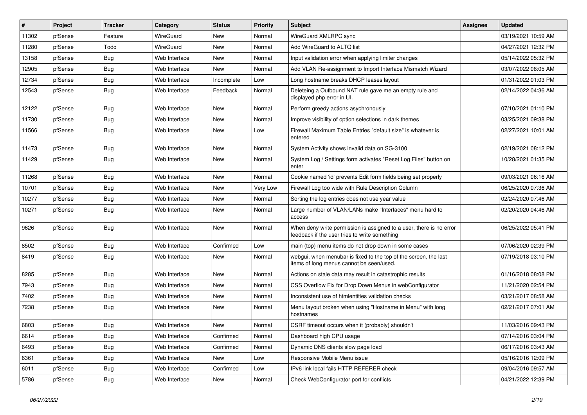| $\vert$ # | Project | <b>Tracker</b> | Category      | <b>Status</b> | <b>Priority</b> | <b>Subject</b>                                                                                                       | Assignee | <b>Updated</b>      |
|-----------|---------|----------------|---------------|---------------|-----------------|----------------------------------------------------------------------------------------------------------------------|----------|---------------------|
| 11302     | pfSense | Feature        | WireGuard     | New           | Normal          | WireGuard XMLRPC sync                                                                                                |          | 03/19/2021 10:59 AM |
| 11280     | pfSense | Todo           | WireGuard     | <b>New</b>    | Normal          | Add WireGuard to ALTQ list                                                                                           |          | 04/27/2021 12:32 PM |
| 13158     | pfSense | Bug            | Web Interface | New           | Normal          | Input validation error when applying limiter changes                                                                 |          | 05/14/2022 05:32 PM |
| 12905     | pfSense | <b>Bug</b>     | Web Interface | <b>New</b>    | Normal          | Add VLAN Re-assignment to Import Interface Mismatch Wizard                                                           |          | 03/07/2022 08:05 AM |
| 12734     | pfSense | Bug            | Web Interface | Incomplete    | Low             | Long hostname breaks DHCP leases layout                                                                              |          | 01/31/2022 01:03 PM |
| 12543     | pfSense | Bug            | Web Interface | Feedback      | Normal          | Deleteing a Outbound NAT rule gave me an empty rule and<br>displayed php error in UI.                                |          | 02/14/2022 04:36 AM |
| 12122     | pfSense | Bug            | Web Interface | <b>New</b>    | Normal          | Perform greedy actions asychronously                                                                                 |          | 07/10/2021 01:10 PM |
| 11730     | pfSense | Bug            | Web Interface | New           | Normal          | Improve visibility of option selections in dark themes                                                               |          | 03/25/2021 09:38 PM |
| 11566     | pfSense | Bug            | Web Interface | <b>New</b>    | Low             | Firewall Maximum Table Entries "default size" is whatever is<br>entered                                              |          | 02/27/2021 10:01 AM |
| 11473     | pfSense | Bug            | Web Interface | <b>New</b>    | Normal          | System Activity shows invalid data on SG-3100                                                                        |          | 02/19/2021 08:12 PM |
| 11429     | pfSense | Bug            | Web Interface | <b>New</b>    | Normal          | System Log / Settings form activates "Reset Log Files" button on<br>enter                                            |          | 10/28/2021 01:35 PM |
| 11268     | pfSense | Bug            | Web Interface | <b>New</b>    | Normal          | Cookie named 'id' prevents Edit form fields being set properly                                                       |          | 09/03/2021 06:16 AM |
| 10701     | pfSense | Bug            | Web Interface | <b>New</b>    | Very Low        | Firewall Log too wide with Rule Description Column                                                                   |          | 06/25/2020 07:36 AM |
| 10277     | pfSense | Bug            | Web Interface | New           | Normal          | Sorting the log entries does not use year value                                                                      |          | 02/24/2020 07:46 AM |
| 10271     | pfSense | Bug            | Web Interface | <b>New</b>    | Normal          | Large number of VLAN/LANs make "Interfaces" menu hard to<br>access                                                   |          | 02/20/2020 04:46 AM |
| 9626      | pfSense | Bug            | Web Interface | <b>New</b>    | Normal          | When deny write permission is assigned to a user, there is no error<br>feedback if the user tries to write something |          | 06/25/2022 05:41 PM |
| 8502      | pfSense | Bug            | Web Interface | Confirmed     | Low             | main (top) menu items do not drop down in some cases                                                                 |          | 07/06/2020 02:39 PM |
| 8419      | pfSense | Bug            | Web Interface | New           | Normal          | webgui, when menubar is fixed to the top of the screen, the last<br>items of long menus cannot be seen/used.         |          | 07/19/2018 03:10 PM |
| 8285      | pfSense | Bug            | Web Interface | <b>New</b>    | Normal          | Actions on stale data may result in catastrophic results                                                             |          | 01/16/2018 08:08 PM |
| 7943      | pfSense | Bug            | Web Interface | <b>New</b>    | Normal          | CSS Overflow Fix for Drop Down Menus in webConfigurator                                                              |          | 11/21/2020 02:54 PM |
| 7402      | pfSense | <b>Bug</b>     | Web Interface | New           | Normal          | Inconsistent use of htmlentities validation checks                                                                   |          | 03/21/2017 08:58 AM |
| 7238      | pfSense | Bug            | Web Interface | New           | Normal          | Menu layout broken when using "Hostname in Menu" with long<br>hostnames                                              |          | 02/21/2017 07:01 AM |
| 6803      | pfSense | Bug            | Web Interface | <b>New</b>    | Normal          | CSRF timeout occurs when it (probably) shouldn't                                                                     |          | 11/03/2016 09:43 PM |
| 6614      | pfSense | <b>Bug</b>     | Web Interface | Confirmed     | Normal          | Dashboard high CPU usage                                                                                             |          | 07/14/2016 03:04 PM |
| 6493      | pfSense | Bug            | Web Interface | Confirmed     | Normal          | Dynamic DNS clients slow page load                                                                                   |          | 06/17/2016 03:43 AM |
| 6361      | pfSense | <b>Bug</b>     | Web Interface | New           | Low             | Responsive Mobile Menu issue                                                                                         |          | 05/16/2016 12:09 PM |
| 6011      | pfSense | <b>Bug</b>     | Web Interface | Confirmed     | Low             | IPv6 link local fails HTTP REFERER check                                                                             |          | 09/04/2016 09:57 AM |
| 5786      | pfSense | <b>Bug</b>     | Web Interface | New           | Normal          | Check WebConfigurator port for conflicts                                                                             |          | 04/21/2022 12:39 PM |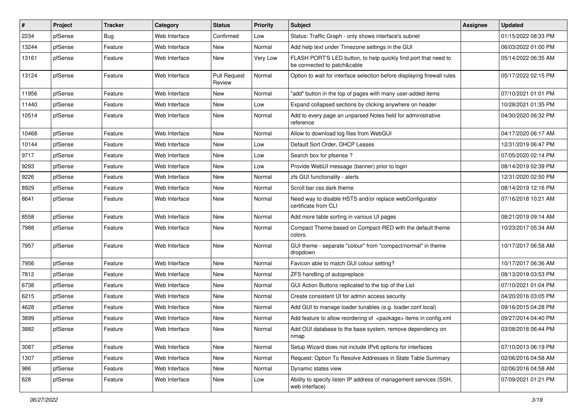| #     | Project | <b>Tracker</b> | Category      | <b>Status</b>          | <b>Priority</b> | <b>Subject</b>                                                                                 | <b>Assignee</b> | <b>Updated</b>      |
|-------|---------|----------------|---------------|------------------------|-----------------|------------------------------------------------------------------------------------------------|-----------------|---------------------|
| 2234  | pfSense | Bug            | Web Interface | Confirmed              | Low             | Status: Traffic Graph - only shows interface's subnet                                          |                 | 01/15/2022 08:33 PM |
| 13244 | pfSense | Feature        | Web Interface | <b>New</b>             | Normal          | Add help text under Timezone settings in the GUI                                               |                 | 06/03/2022 01:00 PM |
| 13161 | pfSense | Feature        | Web Interface | New                    | Very Low        | FLASH PORT'S LED button, to help quickly find port that need to<br>be connected to patch&cable |                 | 05/14/2022 06:35 AM |
| 13124 | pfSense | Feature        | Web Interface | Pull Request<br>Review | Normal          | Option to wait for interface selection before displaying firewall rules                        |                 | 05/17/2022 02:15 PM |
| 11956 | pfSense | Feature        | Web Interface | <b>New</b>             | Normal          | "add" button in the top of pages with many user-added items                                    |                 | 07/10/2021 01:01 PM |
| 11440 | pfSense | Feature        | Web Interface | <b>New</b>             | Low             | Expand collapsed sections by clicking anywhere on header                                       |                 | 10/28/2021 01:35 PM |
| 10514 | pfSense | Feature        | Web Interface | New                    | Normal          | Add to every page an unparsed Notes field for administrative<br>reference                      |                 | 04/30/2020 06:32 PM |
| 10468 | pfSense | Feature        | Web Interface | <b>New</b>             | Normal          | Allow to download log files from WebGUI                                                        |                 | 04/17/2020 06:17 AM |
| 10144 | pfSense | Feature        | Web Interface | <b>New</b>             | Low             | Default Sort Order, DHCP Leases                                                                |                 | 12/31/2019 06:47 PM |
| 9717  | pfSense | Feature        | Web Interface | <b>New</b>             | Low             | Search box for pfsense?                                                                        |                 | 07/05/2020 02:14 PM |
| 9293  | pfSense | Feature        | Web Interface | <b>New</b>             | Low             | Provide WebUI message (banner) prior to login                                                  |                 | 08/14/2019 02:39 PM |
| 9226  | pfSense | Feature        | Web Interface | <b>New</b>             | Normal          | zfs GUI functionality - alerts                                                                 |                 | 12/31/2020 02:50 PM |
| 8929  | pfSense | Feature        | Web Interface | <b>New</b>             | Normal          | Scroll bar css dark theme                                                                      |                 | 08/14/2019 12:16 PM |
| 8641  | pfSense | Feature        | Web Interface | <b>New</b>             | Normal          | Need way to disable HSTS and/or replace webConfigurator<br>certificate from CLI                |                 | 07/16/2018 10:21 AM |
| 8558  | pfSense | Feature        | Web Interface | New                    | Normal          | Add more table sorting in various UI pages                                                     |                 | 08/21/2019 09:14 AM |
| 7988  | pfSense | Feature        | Web Interface | <b>New</b>             | Normal          | Compact Theme based on Compact-RED with the default theme<br>colors.                           |                 | 10/23/2017 05:34 AM |
| 7957  | pfSense | Feature        | Web Interface | <b>New</b>             | Normal          | GUI theme - separate "colour" from "compact/normal" in theme<br>dropdown                       |                 | 10/17/2017 06:58 AM |
| 7956  | pfSense | Feature        | Web Interface | <b>New</b>             | Normal          | Favicon able to match GUI colour setting?                                                      |                 | 10/17/2017 06:36 AM |
| 7812  | pfSense | Feature        | Web Interface | <b>New</b>             | Normal          | ZFS handling of autopreplace                                                                   |                 | 08/13/2019 03:53 PM |
| 6738  | pfSense | Feature        | Web Interface | <b>New</b>             | Normal          | GUI Action Buttons replicated to the top of the List                                           |                 | 07/10/2021 01:04 PM |
| 6215  | pfSense | Feature        | Web Interface | New                    | Normal          | Create consistent UI for admin access security                                                 |                 | 04/20/2016 03:05 PM |
| 4628  | pfSense | Feature        | Web Interface | <b>New</b>             | Normal          | Add GUI to manage loader tunables (e.g. loader.conf.local)                                     |                 | 09/16/2015 04:28 PM |
| 3899  | pfSense | Feature        | Web Interface | <b>New</b>             | Normal          | Add feature to allow reordering of <package> items in config.xml</package>                     |                 | 09/27/2014 04:40 PM |
| 3882  | pfSense | Feature        | Web Interface | New                    | Normal          | Add OUI database to the base system, remove dependency on<br>nmap                              |                 | 03/08/2018 06:44 PM |
| 3087  | pfSense | Feature        | Web Interface | New                    | Normal          | Setup Wizard does not include IPv6 options for interfaces                                      |                 | 07/10/2013 06:19 PM |
| 1307  | pfSense | Feature        | Web Interface | New                    | Normal          | Request: Option To Resolve Addresses in State Table Summary                                    |                 | 02/06/2016 04:58 AM |
| 986   | pfSense | Feature        | Web Interface | New                    | Normal          | Dynamic states view                                                                            |                 | 02/06/2016 04:58 AM |
| 628   | pfSense | Feature        | Web Interface | New                    | Low             | Ability to specify listen IP address of management services (SSH,<br>web interface)            |                 | 07/09/2021 01:21 PM |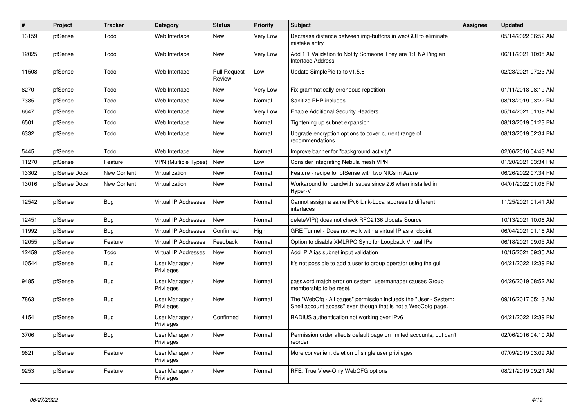| $\vert$ # | Project      | <b>Tracker</b>     | Category                     | <b>Status</b>                 | <b>Priority</b> | <b>Subject</b>                                                                                                                    | Assignee | <b>Updated</b>      |
|-----------|--------------|--------------------|------------------------------|-------------------------------|-----------------|-----------------------------------------------------------------------------------------------------------------------------------|----------|---------------------|
| 13159     | pfSense      | Todo               | Web Interface                | <b>New</b>                    | Very Low        | Decrease distance between img-buttons in webGUI to eliminate<br>mistake entry                                                     |          | 05/14/2022 06:52 AM |
| 12025     | pfSense      | Todo               | Web Interface                | New                           | Very Low        | Add 1:1 Validation to Notify Someone They are 1:1 NAT'ing an<br>Interface Address                                                 |          | 06/11/2021 10:05 AM |
| 11508     | pfSense      | Todo               | Web Interface                | <b>Pull Request</b><br>Review | Low             | Update SimplePie to to v1.5.6                                                                                                     |          | 02/23/2021 07:23 AM |
| 8270      | pfSense      | Todo               | Web Interface                | <b>New</b>                    | Very Low        | Fix grammatically erroneous repetition                                                                                            |          | 01/11/2018 08:19 AM |
| 7385      | pfSense      | Todo               | Web Interface                | <b>New</b>                    | Normal          | Sanitize PHP includes                                                                                                             |          | 08/13/2019 03:22 PM |
| 6647      | pfSense      | Todo               | Web Interface                | <b>New</b>                    | Very Low        | <b>Enable Additional Security Headers</b>                                                                                         |          | 05/14/2021 01:09 AM |
| 6501      | pfSense      | Todo               | Web Interface                | <b>New</b>                    | Normal          | Tightening up subnet expansion                                                                                                    |          | 08/13/2019 01:23 PM |
| 6332      | pfSense      | Todo               | Web Interface                | <b>New</b>                    | Normal          | Upgrade encryption options to cover current range of<br>recommendations                                                           |          | 08/13/2019 02:34 PM |
| 5445      | pfSense      | Todo               | Web Interface                | <b>New</b>                    | Normal          | Improve banner for "background activity"                                                                                          |          | 02/06/2016 04:43 AM |
| 11270     | pfSense      | Feature            | <b>VPN (Multiple Types)</b>  | <b>New</b>                    | Low             | Consider integrating Nebula mesh VPN                                                                                              |          | 01/20/2021 03:34 PM |
| 13302     | pfSense Docs | <b>New Content</b> | Virtualization               | <b>New</b>                    | Normal          | Feature - recipe for pfSense with two NICs in Azure                                                                               |          | 06/26/2022 07:34 PM |
| 13016     | pfSense Docs | New Content        | Virtualization               | <b>New</b>                    | Normal          | Workaround for bandwith issues since 2.6 when installed in<br>Hyper-V                                                             |          | 04/01/2022 01:06 PM |
| 12542     | pfSense      | Bug                | <b>Virtual IP Addresses</b>  | <b>New</b>                    | Normal          | Cannot assign a same IPv6 Link-Local address to different<br>interfaces                                                           |          | 11/25/2021 01:41 AM |
| 12451     | pfSense      | Bug                | Virtual IP Addresses         | <b>New</b>                    | Normal          | deleteVIP() does not check RFC2136 Update Source                                                                                  |          | 10/13/2021 10:06 AM |
| 11992     | pfSense      | Bug                | <b>Virtual IP Addresses</b>  | Confirmed                     | High            | GRE Tunnel - Does not work with a virtual IP as endpoint                                                                          |          | 06/04/2021 01:16 AM |
| 12055     | pfSense      | Feature            | <b>Virtual IP Addresses</b>  | Feedback                      | Normal          | Option to disable XMLRPC Sync for Loopback Virtual IPs                                                                            |          | 06/18/2021 09:05 AM |
| 12459     | pfSense      | Todo               | <b>Virtual IP Addresses</b>  | <b>New</b>                    | Normal          | Add IP Alias subnet input validation                                                                                              |          | 10/15/2021 09:35 AM |
| 10544     | pfSense      | <b>Bug</b>         | User Manager /<br>Privileges | <b>New</b>                    | Normal          | It's not possible to add a user to group operator using the gui                                                                   |          | 04/21/2022 12:39 PM |
| 9485      | pfSense      | <b>Bug</b>         | User Manager /<br>Privileges | <b>New</b>                    | Normal          | password match error on system usermanager causes Group<br>membership to be reset.                                                |          | 04/26/2019 08:52 AM |
| 7863      | pfSense      | Bug                | User Manager /<br>Privileges | <b>New</b>                    | Normal          | The "WebCfg - All pages" permission inclueds the "User - System:<br>Shell account access" even though that is not a WebCofg page. |          | 09/16/2017 05:13 AM |
| 4154      | pfSense      | Bug                | User Manager /<br>Privileges | Confirmed                     | Normal          | RADIUS authentication not working over IPv6                                                                                       |          | 04/21/2022 12:39 PM |
| 3706      | pfSense      | Bug                | User Manager /<br>Privileges | <b>New</b>                    | Normal          | Permission order affects default page on limited accounts, but can't<br>reorder                                                   |          | 02/06/2016 04:10 AM |
| 9621      | pfSense      | Feature            | User Manager /<br>Privileges | <b>New</b>                    | Normal          | More convenient deletion of single user privileges                                                                                |          | 07/09/2019 03:09 AM |
| 9253      | pfSense      | Feature            | User Manager /<br>Privileges | <b>New</b>                    | Normal          | RFE: True View-Only WebCFG options                                                                                                |          | 08/21/2019 09:21 AM |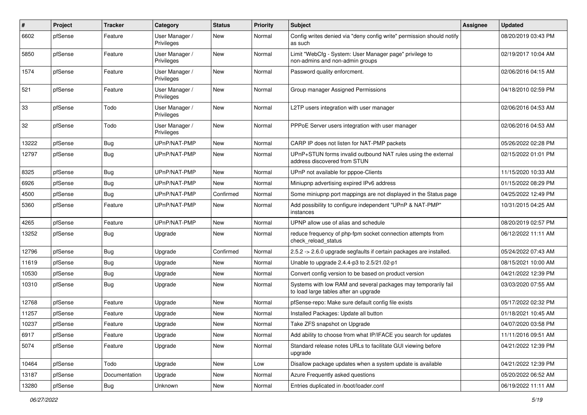| ∦     | Project | Tracker       | Category                     | <b>Status</b> | <b>Priority</b> | <b>Subject</b>                                                                                          | <b>Assignee</b> | <b>Updated</b>      |
|-------|---------|---------------|------------------------------|---------------|-----------------|---------------------------------------------------------------------------------------------------------|-----------------|---------------------|
| 6602  | pfSense | Feature       | User Manager /<br>Privileges | New           | Normal          | Config writes denied via "deny config write" permission should notify<br>as such                        |                 | 08/20/2019 03:43 PM |
| 5850  | pfSense | Feature       | User Manager /<br>Privileges | New           | Normal          | Limit "WebCfg - System: User Manager page" privilege to<br>non-admins and non-admin groups              |                 | 02/19/2017 10:04 AM |
| 1574  | pfSense | Feature       | User Manager /<br>Privileges | New           | Normal          | Password quality enforcment.                                                                            |                 | 02/06/2016 04:15 AM |
| 521   | pfSense | Feature       | User Manager /<br>Privileges | New           | Normal          | Group manager Assigned Permissions                                                                      |                 | 04/18/2010 02:59 PM |
| 33    | pfSense | Todo          | User Manager /<br>Privileges | New           | Normal          | L2TP users integration with user manager                                                                |                 | 02/06/2016 04:53 AM |
| 32    | pfSense | Todo          | User Manager /<br>Privileges | <b>New</b>    | Normal          | PPPoE Server users integration with user manager                                                        |                 | 02/06/2016 04:53 AM |
| 13222 | pfSense | Bug           | UPnP/NAT-PMP                 | <b>New</b>    | Normal          | CARP IP does not listen for NAT-PMP packets                                                             |                 | 05/26/2022 02:28 PM |
| 12797 | pfSense | Bug           | UPnP/NAT-PMP                 | New           | Normal          | UPnP+STUN forms invalid outbound NAT rules using the external<br>address discovered from STUN           |                 | 02/15/2022 01:01 PM |
| 8325  | pfSense | Bug           | UPnP/NAT-PMP                 | <b>New</b>    | Normal          | UPnP not available for pppoe-Clients                                                                    |                 | 11/15/2020 10:33 AM |
| 6926  | pfSense | <b>Bug</b>    | UPnP/NAT-PMP                 | New           | Normal          | Miniupnp advertising expired IPv6 address                                                               |                 | 01/15/2022 08:29 PM |
| 4500  | pfSense | Bug           | UPnP/NAT-PMP                 | Confirmed     | Normal          | Some miniupnp port mappings are not displayed in the Status page                                        |                 | 04/25/2022 12:49 PM |
| 5360  | pfSense | Feature       | UPnP/NAT-PMP                 | <b>New</b>    | Normal          | Add possibility to configure independent "UPnP & NAT-PMP"<br>instances                                  |                 | 10/31/2015 04:25 AM |
| 4265  | pfSense | Feature       | UPnP/NAT-PMP                 | <b>New</b>    | Normal          | UPNP allow use of alias and schedule                                                                    |                 | 08/20/2019 02:57 PM |
| 13252 | pfSense | <b>Bug</b>    | Upgrade                      | New           | Normal          | reduce frequency of php-fpm socket connection attempts from<br>check reload status                      |                 | 06/12/2022 11:11 AM |
| 12796 | pfSense | Bug           | Upgrade                      | Confirmed     | Normal          | 2.5.2 -> 2.6.0 upgrade segfaults if certain packages are installed.                                     |                 | 05/24/2022 07:43 AM |
| 11619 | pfSense | <b>Bug</b>    | Upgrade                      | New           | Normal          | Unable to upgrade 2.4.4-p3 to 2.5/21.02-p1                                                              |                 | 08/15/2021 10:00 AM |
| 10530 | pfSense | Bug           | Upgrade                      | New           | Normal          | Convert config version to be based on product version                                                   |                 | 04/21/2022 12:39 PM |
| 10310 | pfSense | Bug           | Upgrade                      | New           | Normal          | Systems with low RAM and several packages may temporarily fail<br>to load large tables after an upgrade |                 | 03/03/2020 07:55 AM |
| 12768 | pfSense | Feature       | Upgrade                      | <b>New</b>    | Normal          | pfSense-repo: Make sure default config file exists                                                      |                 | 05/17/2022 02:32 PM |
| 11257 | pfSense | Feature       | Upgrade                      | New           | Normal          | Installed Packages: Update all button                                                                   |                 | 01/18/2021 10:45 AM |
| 10237 | pfSense | Feature       | Upgrade                      | <b>New</b>    | Normal          | Take ZFS snapshot on Upgrade                                                                            |                 | 04/07/2020 03:58 PM |
| 6917  | pfSense | Feature       | Upgrade                      | New           | Normal          | Add ability to choose from what IP/IFACE you search for updates                                         |                 | 11/11/2016 09:51 AM |
| 5074  | pfSense | Feature       | Upgrade                      | New           | Normal          | Standard release notes URLs to facilitate GUI viewing before<br>upgrade                                 |                 | 04/21/2022 12:39 PM |
| 10464 | pfSense | Todo          | Upgrade                      | New           | Low             | Disallow package updates when a system update is available                                              |                 | 04/21/2022 12:39 PM |
| 13187 | pfSense | Documentation | Upgrade                      | New           | Normal          | Azure Frequently asked questions                                                                        |                 | 05/20/2022 06:52 AM |
| 13280 | pfSense | Bug           | Unknown                      | New           | Normal          | Entries duplicated in /boot/loader.conf                                                                 |                 | 06/19/2022 11:11 AM |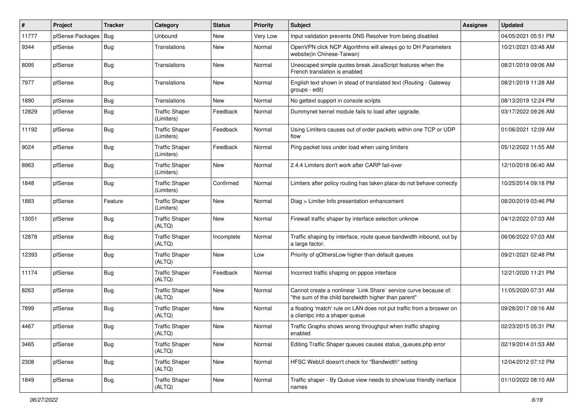| #     | Project          | <b>Tracker</b> | Category                            | <b>Status</b> | <b>Priority</b> | Subject                                                                                                                 | <b>Assignee</b> | <b>Updated</b>      |
|-------|------------------|----------------|-------------------------------------|---------------|-----------------|-------------------------------------------------------------------------------------------------------------------------|-----------------|---------------------|
| 11777 | pfSense Packages | Bug            | Unbound                             | New           | Very Low        | Input validation prevents DNS Resolver from being disabled                                                              |                 | 04/05/2021 05:51 PM |
| 9344  | pfSense          | Bug            | Translations                        | <b>New</b>    | Normal          | OpenVPN click NCP Algorithms will always go to DH Parameters<br>website(in Chinese-Taiwan)                              |                 | 10/21/2021 03:48 AM |
| 8095  | pfSense          | Bug            | Translations                        | New           | Normal          | Unescaped simple quotes break JavaScript features when the<br>French translation is enabled                             |                 | 08/21/2019 09:06 AM |
| 7977  | pfSense          | Bug            | Translations                        | New           | Normal          | English text shown in stead of translated text (Routing - Gateway<br>groups - edit)                                     |                 | 08/21/2019 11:28 AM |
| 1890  | pfSense          | Bug            | <b>Translations</b>                 | <b>New</b>    | Normal          | No gettext support in console scripts                                                                                   |                 | 08/13/2019 12:24 PM |
| 12829 | pfSense          | <b>Bug</b>     | <b>Traffic Shaper</b><br>(Limiters) | Feedback      | Normal          | Dummynet kernel module fails to load after upgrade.                                                                     |                 | 03/17/2022 09:26 AM |
| 11192 | pfSense          | Bug            | <b>Traffic Shaper</b><br>(Limiters) | Feedback      | Normal          | Using Limiters causes out of order packets within one TCP or UDP<br>flow                                                |                 | 01/06/2021 12:09 AM |
| 9024  | pfSense          | Bug            | <b>Traffic Shaper</b><br>(Limiters) | Feedback      | Normal          | Ping packet loss under load when using limiters                                                                         |                 | 05/12/2022 11:55 AM |
| 8963  | pfSense          | Bug            | <b>Traffic Shaper</b><br>(Limiters) | New           | Normal          | 2.4.4 Limiters don't work after CARP fail-over                                                                          |                 | 12/10/2018 06:40 AM |
| 1848  | pfSense          | Bug            | <b>Traffic Shaper</b><br>(Limiters) | Confirmed     | Normal          | Limiters after policy routing has taken place do not behave correctly                                                   |                 | 10/25/2014 09:18 PM |
| 1883  | pfSense          | Feature        | <b>Traffic Shaper</b><br>(Limiters) | New           | Normal          | Diag > Limiter Info presentation enhancement                                                                            |                 | 08/20/2019 03:46 PM |
| 13051 | pfSense          | Bug            | <b>Traffic Shaper</b><br>(ALTQ)     | <b>New</b>    | Normal          | Firewall traffic shaper by interface selection unknow                                                                   |                 | 04/12/2022 07:03 AM |
| 12878 | pfSense          | Bug            | <b>Traffic Shaper</b><br>(ALTQ)     | Incomplete    | Normal          | Traffic shaping by interface, route queue bandwidth inbound, out by<br>a large factor.                                  |                 | 06/06/2022 07:03 AM |
| 12393 | pfSense          | Bug            | <b>Traffic Shaper</b><br>(ALTQ)     | <b>New</b>    | Low             | Priority of gOthersLow higher than default queues                                                                       |                 | 09/21/2021 02:48 PM |
| 11174 | pfSense          | Bug            | <b>Traffic Shaper</b><br>(ALTQ)     | Feedback      | Normal          | Incorrect traffic shaping on pppoe interface                                                                            |                 | 12/21/2020 11:21 PM |
| 8263  | pfSense          | Bug            | <b>Traffic Shaper</b><br>(ALTQ)     | <b>New</b>    | Normal          | Cannot create a nonlinear `Link Share` service curve because of:<br>"the sum of the child bandwidth higher than parent" |                 | 11/05/2020 07:31 AM |
| 7899  | pfSense          | <b>Bug</b>     | <b>Traffic Shaper</b><br>(ALTQ)     | New           | Normal          | a floating 'match' rule on LAN does not put traffic from a broswer on<br>a clientpc into a shaper queue                 |                 | 09/28/2017 09:16 AM |
| 4467  | pfSense          | <b>Bug</b>     | <b>Traffic Shaper</b><br>(ALTQ)     | <b>New</b>    | Normal          | Traffic Graphs shows wrong throughput when traffic shaping<br>enabled                                                   |                 | 02/23/2015 05:31 PM |
| 3465  | pfSense          | <b>Bug</b>     | <b>Traffic Shaper</b><br>(ALTQ)     | New           | Normal          | Editing Traffic Shaper queues causes status_queues.php error                                                            |                 | 02/19/2014 01:53 AM |
| 2308  | pfSense          | <b>Bug</b>     | <b>Traffic Shaper</b><br>(ALTQ)     | New           | Normal          | HFSC WebUI doesn't check for "Bandwidth" setting                                                                        |                 | 12/04/2012 07:12 PM |
| 1849  | pfSense          | <b>Bug</b>     | <b>Traffic Shaper</b><br>(ALTQ)     | New           | Normal          | Traffic shaper - By Queue view needs to show/use friendly inerface<br>names                                             |                 | 01/10/2022 08:10 AM |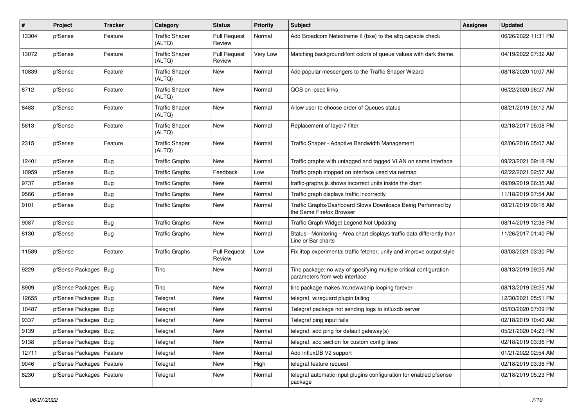| ∦     | Project                    | Tracker    | Category                        | <b>Status</b>                 | <b>Priority</b> | <b>Subject</b>                                                                                      | <b>Assignee</b> | <b>Updated</b>      |
|-------|----------------------------|------------|---------------------------------|-------------------------------|-----------------|-----------------------------------------------------------------------------------------------------|-----------------|---------------------|
| 13304 | pfSense                    | Feature    | <b>Traffic Shaper</b><br>(ALTQ) | <b>Pull Request</b><br>Review | Normal          | Add Broadcom Netextreme II (bxe) to the altq capable check                                          |                 | 06/26/2022 11:31 PM |
| 13072 | pfSense                    | Feature    | <b>Traffic Shaper</b><br>(ALTQ) | <b>Pull Request</b><br>Review | Very Low        | Matching background/font colors of queue values with dark theme.                                    |                 | 04/19/2022 07:32 AM |
| 10839 | pfSense                    | Feature    | <b>Traffic Shaper</b><br>(ALTQ) | New                           | Normal          | Add popular messengers to the Traffic Shaper Wizard                                                 |                 | 08/18/2020 10:07 AM |
| 8712  | pfSense                    | Feature    | <b>Traffic Shaper</b><br>(ALTQ) | New                           | Normal          | QOS on ipsec links                                                                                  |                 | 06/22/2020 06:27 AM |
| 8483  | pfSense                    | Feature    | <b>Traffic Shaper</b><br>(ALTQ) | New                           | Normal          | Allow user to choose order of Queues status                                                         |                 | 08/21/2019 09:12 AM |
| 5813  | pfSense                    | Feature    | <b>Traffic Shaper</b><br>(ALTQ) | New                           | Normal          | Replacement of layer7 filter                                                                        |                 | 02/18/2017 05:08 PM |
| 2315  | pfSense                    | Feature    | <b>Traffic Shaper</b><br>(ALTQ) | <b>New</b>                    | Normal          | Traffic Shaper - Adaptive Bandwidth Management                                                      |                 | 02/06/2016 05:07 AM |
| 12401 | pfSense                    | Bug        | <b>Traffic Graphs</b>           | <b>New</b>                    | Normal          | Traffic graphs with untagged and tagged VLAN on same interface                                      |                 | 09/23/2021 09:18 PM |
| 10959 | pfSense                    | Bug        | <b>Traffic Graphs</b>           | Feedback                      | Low             | Traffic graph stopped on interface used via netmap                                                  |                 | 02/22/2021 02:57 AM |
| 9737  | pfSense                    | <b>Bug</b> | <b>Traffic Graphs</b>           | <b>New</b>                    | Normal          | traffic-graphs.js shows incorrect units inside the chart                                            |                 | 09/09/2019 06:35 AM |
| 9566  | pfSense                    | <b>Bug</b> | <b>Traffic Graphs</b>           | New                           | Normal          | Traffic graph displays traffic incorrectly                                                          |                 | 11/18/2019 07:54 AM |
| 9101  | pfSense                    | <b>Bug</b> | <b>Traffic Graphs</b>           | New                           | Normal          | Traffic Graphs/Dashboard Slows Downloads Being Performed by<br>the Same Firefox Browser             |                 | 08/21/2019 09:18 AM |
| 9087  | pfSense                    | <b>Bug</b> | <b>Traffic Graphs</b>           | <b>New</b>                    | Normal          | Traffic Graph Widget Legend Not Updating                                                            |                 | 08/14/2019 12:38 PM |
| 8130  | pfSense                    | <b>Bug</b> | <b>Traffic Graphs</b>           | New                           | Normal          | Status - Monitoring - Area chart displays traffic data differently than<br>Line or Bar charts       |                 | 11/26/2017 01:40 PM |
| 11589 | pfSense                    | Feature    | <b>Traffic Graphs</b>           | <b>Pull Request</b><br>Review | Low             | Fix iftop experimental traffic fetcher, unify and improve output style                              |                 | 03/03/2021 03:30 PM |
| 9229  | pfSense Packages   Bug     |            | Tinc                            | New                           | Normal          | Tinc package: no way of specifying multiple critical configuration<br>parameters from web interface |                 | 08/13/2019 09:25 AM |
| 8909  | pfSense Packages   Bug     |            | Tinc                            | New                           | Normal          | tinc package makes /rc.newwanip looping forever                                                     |                 | 08/13/2019 09:25 AM |
| 12655 | pfSense Packages   Bug     |            | Telegraf                        | <b>New</b>                    | Normal          | telegraf, wireguard plugin failing                                                                  |                 | 12/30/2021 05:51 PM |
| 10487 | pfSense Packages   Bug     |            | Telegraf                        | New                           | Normal          | Telegraf package not sending logs to influxdb server                                                |                 | 05/03/2020 07:09 PM |
| 9337  | pfSense Packages   Bug     |            | Telegraf                        | New                           | Normal          | Telegraf ping input fails                                                                           |                 | 02/18/2019 10:40 AM |
| 9139  | pfSense Packages   Bug     |            | Telegraf                        | New                           | Normal          | telegraf: add ping for default gateway(s)                                                           |                 | 05/21/2020 04:23 PM |
| 9138  | pfSense Packages   Bug     |            | Telegraf                        | New                           | Normal          | telegraf: add section for custom config lines                                                       |                 | 02/18/2019 03:36 PM |
| 12711 | pfSense Packages   Feature |            | Telegraf                        | New                           | Normal          | Add InfluxDB V2 support                                                                             |                 | 01/21/2022 02:54 AM |
| 9046  | pfSense Packages   Feature |            | Telegraf                        | New                           | High            | telegraf feature request                                                                            |                 | 02/18/2019 03:38 PM |
| 8230  | pfSense Packages   Feature |            | Telegraf                        | New                           | Normal          | telegraf automatic input plugins configuration for enabled pfsense<br>package                       |                 | 02/18/2019 05:23 PM |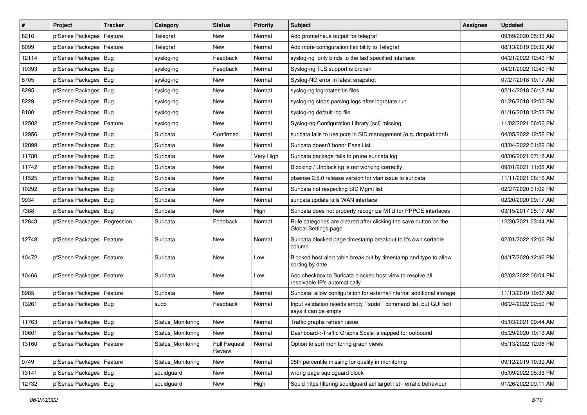| $\pmb{\sharp}$ | Project                    | <b>Tracker</b> | Category          | <b>Status</b>          | <b>Priority</b> | Subject                                                                                    | <b>Assignee</b> | <b>Updated</b>      |
|----------------|----------------------------|----------------|-------------------|------------------------|-----------------|--------------------------------------------------------------------------------------------|-----------------|---------------------|
| 8216           | pfSense Packages           | Feature        | Telegraf          | New                    | Normal          | Add prometheus output for telegraf                                                         |                 | 09/09/2020 05:33 AM |
| 8099           | pfSense Packages           | Feature        | Telegraf          | New                    | Normal          | Add more configuration flexibility to Telegraf                                             |                 | 08/13/2019 09:39 AM |
| 12114          | pfSense Packages           | Bug            | syslog-ng         | Feedback               | Normal          | syslog-ng only binds to the last specified interface                                       |                 | 04/21/2022 12:40 PM |
| 10393          | pfSense Packages   Bug     |                | syslog-ng         | Feedback               | Normal          | Syslog-ng TLS support is broken                                                            |                 | 04/21/2022 12:40 PM |
| 8705           | pfSense Packages           | Bug            | syslog-ng         | <b>New</b>             | Normal          | Syslog-NG error in latest snapshot                                                         |                 | 07/27/2018 10:17 AM |
| 8295           | pfSense Packages   Bug     |                | syslog-ng         | New                    | Normal          | syslog-ng logrotates tls files                                                             |                 | 02/14/2018 06:12 AM |
| 8229           | pfSense Packages   Bug     |                | syslog-ng         | New                    | Normal          | syslog-ng stops parsing logs after logrotate run                                           |                 | 01/26/2018 12:00 PM |
| 8180           | pfSense Packages           | Bug            | syslog-ng         | New                    | Normal          | syslog-ng default log file                                                                 |                 | 01/16/2018 12:53 PM |
| 12502          | pfSense Packages   Feature |                | syslog-ng         | New                    | Normal          | Syslog-ng Configuration Library (scl) missing                                              |                 | 11/02/2021 06:06 PM |
| 12956          | pfSense Packages           | Bug            | Suricata          | Confirmed              | Normal          | suricata fails to use pcre in SID management (e.g. dropsid.conf)                           |                 | 04/05/2022 12:52 PM |
| 12899          | pfSense Packages           | Bug            | Suricata          | New                    | Normal          | Suricata doesn't honor Pass List                                                           |                 | 03/04/2022 01:22 PM |
| 11780          | pfSense Packages   Bug     |                | Suricata          | New                    | Very High       | Suricata package fails to prune suricata.log                                               |                 | 08/06/2021 07:18 AM |
| 11742          | pfSense Packages           | <b>Bug</b>     | Suricata          | New                    | Normal          | Blocking / Unblocking is not working correctly.                                            |                 | 09/01/2021 11:08 AM |
| 11525          | pfSense Packages           | Bug            | Suricata          | New                    | Normal          | pfsense 2.5.0 release version for vlan issue to suricata                                   |                 | 11/11/2021 08:16 AM |
| 10292          | pfSense Packages           | Bug            | Suricata          | <b>New</b>             | Normal          | Suricata not respecting SID Mgmt list                                                      |                 | 02/27/2020 01:02 PM |
| 9934           | pfSense Packages           | Bug            | Suricata          | New                    | Normal          | suricata update kills WAN interface                                                        |                 | 02/20/2020 09:17 AM |
| 7388           | pfSense Packages   Bug     |                | Suricata          | New                    | High            | Suricata does not property recognize MTU for PPPOE interfaces                              |                 | 03/15/2017 05:17 AM |
| 12643          | pfSense Packages           | Regression     | Suricata          | Feedback               | Normal          | Rule categories are cleared after clicking the save button on the<br>Global Settings page  |                 | 12/30/2021 03:44 AM |
| 12748          | pfSense Packages   Feature |                | Suricata          | New                    | Normal          | Suricata blocked page timestamp breakout to it's own sortable<br>column                    |                 | 02/01/2022 12:06 PM |
| 10472          | pfSense Packages           | Feature        | Suricata          | <b>New</b>             | Low             | Blocked host alert table break out by timestamp and type to allow<br>sorting by date       |                 | 04/17/2020 12:46 PM |
| 10466          | pfSense Packages   Feature |                | Suricata          | New                    | Low             | Add checkbox to Suricata blocked host view to resolve all<br>resolvable IP's automatically |                 | 02/02/2022 06:04 PM |
| 8985           | pfSense Packages           | Feature        | Suricata          | New                    | Normal          | Suricata: allow configuration for external/internal additional storage                     |                 | 11/13/2019 10:07 AM |
| 13261          | pfSense Packages           | Bug            | sudo              | Feedback               | Normal          | Input validation rejects empty "sudo" command list, but GUI text<br>says it can be empty   |                 | 06/24/2022 02:50 PM |
| 11763          | pfSense Packages   Bug     |                | Status_Monitoring | New                    | Normal          | Traffic graphs refresh issue                                                               |                 | 05/03/2021 09:44 AM |
| 10601          | pfSense Packages   Bug     |                | Status Monitoring | New                    | Normal          | Dashboard->Traffic Graphs Scale is capped for outbound                                     |                 | 05/29/2020 10:13 AM |
| 13160          | pfSense Packages   Feature |                | Status_Monitoring | Pull Request<br>Review | Normal          | Option to sort monitoring graph views                                                      |                 | 05/13/2022 12:06 PM |
| 9749           | pfSense Packages   Feature |                | Status_Monitoring | New                    | Normal          | 95th percentile missing for quality in monitoring                                          |                 | 09/12/2019 10:39 AM |
| 13141          | pfSense Packages   Bug     |                | squidguard        | New                    | Normal          | wrong page squidguard block                                                                |                 | 05/09/2022 05:33 PM |
| 12732          | pfSense Packages   Bug     |                | squidguard        | New                    | High            | Squid https filtering squidguard acl target list - erratic behaviour                       |                 | 01/26/2022 09:11 AM |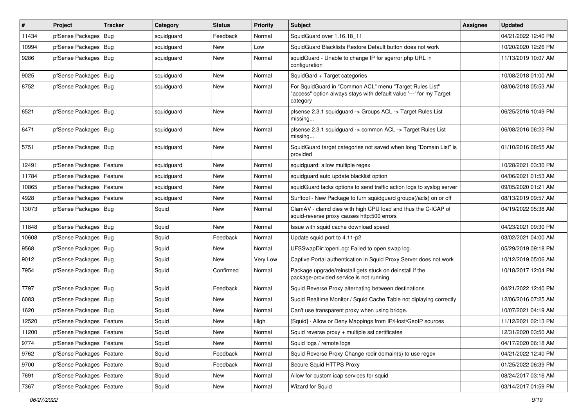| $\vert$ # | Project                    | <b>Tracker</b> | Category   | <b>Status</b> | <b>Priority</b> | <b>Subject</b>                                                                                                                             | <b>Assignee</b> | <b>Updated</b>      |
|-----------|----------------------------|----------------|------------|---------------|-----------------|--------------------------------------------------------------------------------------------------------------------------------------------|-----------------|---------------------|
| 11434     | pfSense Packages           | Bug            | squidguard | Feedback      | Normal          | SquidGuard over 1.16.18 11                                                                                                                 |                 | 04/21/2022 12:40 PM |
| 10994     | pfSense Packages   Bug     |                | squidguard | New           | Low             | SquidGuard Blacklists Restore Default button does not work                                                                                 |                 | 10/20/2020 12:26 PM |
| 9286      | pfSense Packages   Bug     |                | squidguard | New           | Normal          | squidGuard - Unable to change IP for sgerror.php URL in<br>configuration                                                                   |                 | 11/13/2019 10:07 AM |
| 9025      | pfSense Packages   Bug     |                | squidguard | <b>New</b>    | Normal          | SquidGard + Target categories                                                                                                              |                 | 10/08/2018 01:00 AM |
| 8752      | pfSense Packages   Bug     |                | squidguard | New           | Normal          | For SquidGuard in "Common ACL" menu "Target Rules List"<br>'access" option always stays with default value '---' for my Target<br>category |                 | 08/06/2018 05:53 AM |
| 6521      | pfSense Packages   Bug     |                | squidguard | <b>New</b>    | Normal          | pfsense 2.3.1 squidguard -> Groups ACL -> Target Rules List<br>missing                                                                     |                 | 06/25/2016 10:49 PM |
| 6471      | pfSense Packages   Bug     |                | squidguard | <b>New</b>    | Normal          | pfsense 2.3.1 squidguard -> common ACL -> Target Rules List<br>missing                                                                     |                 | 06/08/2016 06:22 PM |
| 5751      | pfSense Packages   Bug     |                | squidguard | <b>New</b>    | Normal          | SquidGuard target categories not saved when long "Domain List" is<br>provided                                                              |                 | 01/10/2016 08:55 AM |
| 12491     | pfSense Packages   Feature |                | squidguard | New           | Normal          | squidguard: allow multiple regex                                                                                                           |                 | 10/28/2021 03:30 PM |
| 11784     | pfSense Packages   Feature |                | squidguard | New           | Normal          | squidguard auto update blacklist option                                                                                                    |                 | 04/06/2021 01:53 AM |
| 10865     | pfSense Packages   Feature |                | squidguard | New           | Normal          | squidGuard lacks options to send traffic action logs to syslog server                                                                      |                 | 09/05/2020 01:21 AM |
| 4928      | pfSense Packages   Feature |                | squidguard | New           | Normal          | Surftool - New Package to turn squidguard groups(/acls) on or off                                                                          |                 | 08/13/2019 09:57 AM |
| 13073     | pfSense Packages   Bug     |                | Squid      | New           | Normal          | ClamAV - clamd dies with high CPU load and thus the C-ICAP of<br>squid-reverse proxy causes http:500 errors                                |                 | 04/19/2022 05:38 AM |
| 11848     | pfSense Packages   Bug     |                | Squid      | New           | Normal          | Issue with squid cache download speed                                                                                                      |                 | 04/23/2021 09:30 PM |
| 10608     | pfSense Packages   Bug     |                | Squid      | Feedback      | Normal          | Update squid port to 4.11-p2                                                                                                               |                 | 03/02/2021 04:00 AM |
| 9568      | pfSense Packages   Bug     |                | Squid      | New           | Normal          | UFSSwapDir::openLog: Failed to open swap log.                                                                                              |                 | 05/29/2019 09:18 PM |
| 9012      | pfSense Packages   Bug     |                | Squid      | New           | Very Low        | Captive Portal authentication in Squid Proxy Server does not work                                                                          |                 | 10/12/2019 05:06 AM |
| 7954      | pfSense Packages   Bug     |                | Squid      | Confirmed     | Normal          | Package upgrade/reinstall gets stuck on deinstall if the<br>package-provided service is not running                                        |                 | 10/18/2017 12:04 PM |
| 7797      | pfSense Packages   Bug     |                | Squid      | Feedback      | Normal          | Squid Reverse Proxy alternating between destinations                                                                                       |                 | 04/21/2022 12:40 PM |
| 6083      | pfSense Packages   Bug     |                | Squid      | New           | Normal          | Sugid Realtime Monitor / Squid Cache Table not diplaying correctly                                                                         |                 | 12/06/2016 07:25 AM |
| 1620      | pfSense Packages   Bug     |                | Squid      | <b>New</b>    | Normal          | Can't use transparent proxy when using bridge.                                                                                             |                 | 10/07/2021 04:19 AM |
| 12520     | pfSense Packages   Feature |                | Squid      | New           | High            | [Squid] - Allow or Deny Mappings from IP/Host/GeoIP sources                                                                                |                 | 11/12/2021 02:13 PM |
| 11200     | pfSense Packages   Feature |                | Squid      | New           | Normal          | Squid reverse proxy + multiple ssl certificates                                                                                            |                 | 12/31/2020 03:50 AM |
| 9774      | pfSense Packages   Feature |                | Squid      | New           | Normal          | Squid logs / remote logs                                                                                                                   |                 | 04/17/2020 06:18 AM |
| 9762      | pfSense Packages   Feature |                | Squid      | Feedback      | Normal          | Squid Reverse Proxy Change redir domain(s) to use regex                                                                                    |                 | 04/21/2022 12:40 PM |
| 9700      | pfSense Packages   Feature |                | Squid      | Feedback      | Normal          | Secure Squid HTTPS Proxy                                                                                                                   |                 | 01/25/2022 06:39 PM |
| 7691      | pfSense Packages   Feature |                | Squid      | New           | Normal          | Allow for custom icap services for squid                                                                                                   |                 | 08/24/2017 03:16 AM |
| 7367      | pfSense Packages   Feature |                | Squid      | New           | Normal          | Wizard for Squid                                                                                                                           |                 | 03/14/2017 01:59 PM |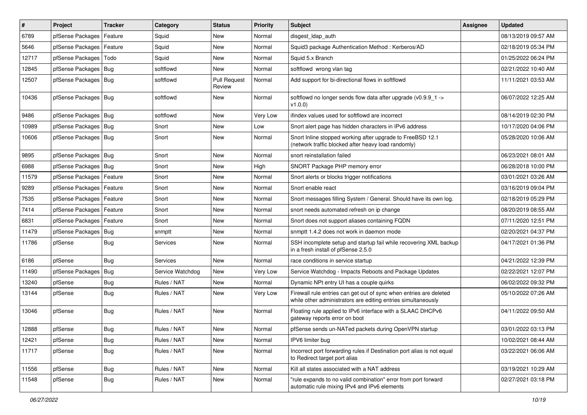| $\vert$ # | Project                    | <b>Tracker</b> | Category         | <b>Status</b>                 | <b>Priority</b> | <b>Subject</b>                                                                                                                      | Assignee | <b>Updated</b>      |
|-----------|----------------------------|----------------|------------------|-------------------------------|-----------------|-------------------------------------------------------------------------------------------------------------------------------------|----------|---------------------|
| 6789      | pfSense Packages           | Feature        | Squid            | <b>New</b>                    | Normal          | disgest_ldap_auth                                                                                                                   |          | 08/13/2019 09:57 AM |
| 5646      | pfSense Packages   Feature |                | Squid            | <b>New</b>                    | Normal          | Squid3 package Authentication Method: Kerberos/AD                                                                                   |          | 02/18/2019 05:34 PM |
| 12717     | pfSense Packages           | Todo           | Squid            | <b>New</b>                    | Normal          | Squid 5.x Branch                                                                                                                    |          | 01/25/2022 06:24 PM |
| 12845     | pfSense Packages   Bug     |                | softflowd        | <b>New</b>                    | Normal          | softflowd wrong vlan tag                                                                                                            |          | 02/21/2022 10:40 AM |
| 12507     | pfSense Packages   Bug     |                | softflowd        | <b>Pull Request</b><br>Review | Normal          | Add support for bi-directional flows in softflowd                                                                                   |          | 11/11/2021 03:53 AM |
| 10436     | pfSense Packages   Bug     |                | softflowd        | <b>New</b>                    | Normal          | softflowd no longer sends flow data after upgrade (v0.9.9_1 -><br>v1.0.0                                                            |          | 06/07/2022 12:25 AM |
| 9486      | pfSense Packages   Bug     |                | softflowd        | <b>New</b>                    | Very Low        | ifindex values used for softflowd are incorrect                                                                                     |          | 08/14/2019 02:30 PM |
| 10989     | pfSense Packages   Bug     |                | Snort            | <b>New</b>                    | Low             | Snort alert page has hidden characters in IPv6 address                                                                              |          | 10/17/2020 04:06 PM |
| 10606     | pfSense Packages   Bug     |                | Snort            | <b>New</b>                    | Normal          | Snort Inline stopped working after upgrade to FreeBSD 12.1<br>(network traffic blocked after heavy load randomly)                   |          | 05/28/2020 10:06 AM |
| 9895      | pfSense Packages   Bug     |                | Snort            | <b>New</b>                    | Normal          | snort reinstallation failed                                                                                                         |          | 06/23/2021 08:01 AM |
| 6988      | pfSense Packages   Bug     |                | Snort            | <b>New</b>                    | High            | SNORT Package PHP memory error                                                                                                      |          | 06/28/2018 10:00 PM |
| 11579     | pfSense Packages   Feature |                | Snort            | <b>New</b>                    | Normal          | Snort alerts or blocks trigger notifications                                                                                        |          | 03/01/2021 03:26 AM |
| 9289      | pfSense Packages   Feature |                | Snort            | <b>New</b>                    | Normal          | Snort enable react                                                                                                                  |          | 03/16/2019 09:04 PM |
| 7535      | pfSense Packages   Feature |                | Snort            | <b>New</b>                    | Normal          | Snort messages filling System / General. Should have its own log.                                                                   |          | 02/18/2019 05:29 PM |
| 7414      | pfSense Packages           | Feature        | Snort            | <b>New</b>                    | Normal          | snort needs automated refresh on ip change                                                                                          |          | 08/20/2019 08:55 AM |
| 6831      | pfSense Packages   Feature |                | Snort            | <b>New</b>                    | Normal          | Snort does not support aliases containing FQDN                                                                                      |          | 07/11/2020 12:51 PM |
| 11479     | pfSense Packages   Bug     |                | snmptt           | <b>New</b>                    | Normal          | snmptt 1.4.2 does not work in daemon mode                                                                                           |          | 02/20/2021 04:37 PM |
| 11786     | pfSense                    | Bug            | Services         | <b>New</b>                    | Normal          | SSH incomplete setup and startup fail while recovering XML backup<br>in a fresh install of pfSense 2.5.0                            |          | 04/17/2021 01:36 PM |
| 6186      | pfSense                    | Bug            | Services         | <b>New</b>                    | Normal          | race conditions in service startup                                                                                                  |          | 04/21/2022 12:39 PM |
| 11490     | pfSense Packages           | Bug            | Service Watchdog | <b>New</b>                    | Very Low        | Service Watchdog - Impacts Reboots and Package Updates                                                                              |          | 02/22/2021 12:07 PM |
| 13240     | pfSense                    | <b>Bug</b>     | Rules / NAT      | <b>New</b>                    | Normal          | Dynamic NPt entry UI has a couple quirks                                                                                            |          | 06/02/2022 09:32 PM |
| 13144     | pfSense                    | <b>Bug</b>     | Rules / NAT      | <b>New</b>                    | Very Low        | Firewall rule entries can get out of sync when entries are deleted<br>while other administrators are editing entries simultaneously |          | 05/10/2022 07:26 AM |
| 13046     | pfSense                    | Bug            | Rules / NAT      | <b>New</b>                    | Normal          | Floating rule applied to IPv6 interface with a SLAAC DHCPv6<br>gateway reports error on boot                                        |          | 04/11/2022 09:50 AM |
| 12888     | pfSense                    | Bug            | Rules / NAT      | New                           | Normal          | pfSense sends un-NATed packets during OpenVPN startup                                                                               |          | 03/01/2022 03:13 PM |
| 12421     | pfSense                    | Bug            | Rules / NAT      | New                           | Normal          | IPV6 limiter bug                                                                                                                    |          | 10/02/2021 08:44 AM |
| 11717     | pfSense                    | <b>Bug</b>     | Rules / NAT      | New                           | Normal          | Incorrect port forwarding rules if Destination port alias is not equal<br>to Redirect target port alias                             |          | 03/22/2021 06:06 AM |
| 11556     | pfSense                    | <b>Bug</b>     | Rules / NAT      | New                           | Normal          | Kill all states associated with a NAT address                                                                                       |          | 03/19/2021 10:29 AM |
| 11548     | pfSense                    | <b>Bug</b>     | Rules / NAT      | New                           | Normal          | "rule expands to no valid combination" error from port forward<br>automatic rule mixing IPv4 and IPv6 elements                      |          | 02/27/2021 03:18 PM |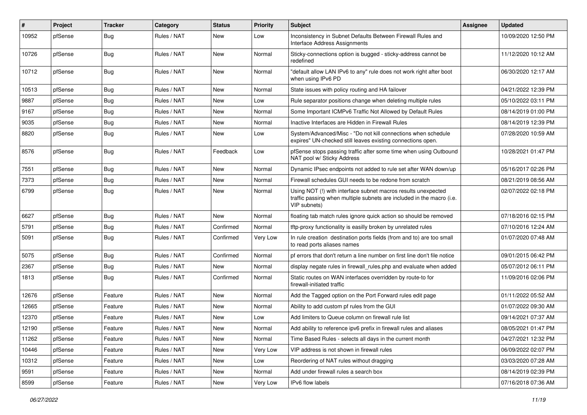| #     | Project | Tracker    | Category    | <b>Status</b> | <b>Priority</b> | Subject                                                                                                                                                | <b>Assignee</b> | <b>Updated</b>      |
|-------|---------|------------|-------------|---------------|-----------------|--------------------------------------------------------------------------------------------------------------------------------------------------------|-----------------|---------------------|
| 10952 | pfSense | <b>Bug</b> | Rules / NAT | <b>New</b>    | Low             | Inconsistency in Subnet Defaults Between Firewall Rules and<br>Interface Address Assignments                                                           |                 | 10/09/2020 12:50 PM |
| 10726 | pfSense | Bug        | Rules / NAT | <b>New</b>    | Normal          | Sticky-connections option is bugged - sticky-address cannot be<br>redefined                                                                            |                 | 11/12/2020 10:12 AM |
| 10712 | pfSense | Bug        | Rules / NAT | New           | Normal          | "default allow LAN IPv6 to any" rule does not work right after boot<br>when using IPv6 PD                                                              |                 | 06/30/2020 12:17 AM |
| 10513 | pfSense | Bug        | Rules / NAT | <b>New</b>    | Normal          | State issues with policy routing and HA failover                                                                                                       |                 | 04/21/2022 12:39 PM |
| 9887  | pfSense | Bug        | Rules / NAT | <b>New</b>    | Low             | Rule separator positions change when deleting multiple rules                                                                                           |                 | 05/10/2022 03:11 PM |
| 9167  | pfSense | <b>Bug</b> | Rules / NAT | <b>New</b>    | Normal          | Some Important ICMPv6 Traffic Not Allowed by Default Rules                                                                                             |                 | 08/14/2019 01:00 PM |
| 9035  | pfSense | Bug        | Rules / NAT | <b>New</b>    | Normal          | Inactive Interfaces are Hidden in Firewall Rules                                                                                                       |                 | 08/14/2019 12:39 PM |
| 8820  | pfSense | Bug        | Rules / NAT | New           | Low             | System/Advanced/Misc - "Do not kill connections when schedule<br>expires" UN-checked still leaves existing connections open.                           |                 | 07/28/2020 10:59 AM |
| 8576  | pfSense | Bug        | Rules / NAT | Feedback      | Low             | pfSense stops passing traffic after some time when using Outbound<br>NAT pool w/ Sticky Address                                                        |                 | 10/28/2021 01:47 PM |
| 7551  | pfSense | Bug        | Rules / NAT | <b>New</b>    | Normal          | Dynamic IPsec endpoints not added to rule set after WAN down/up                                                                                        |                 | 05/16/2017 02:26 PM |
| 7373  | pfSense | Bug        | Rules / NAT | <b>New</b>    | Normal          | Firewall schedules GUI needs to be redone from scratch                                                                                                 |                 | 08/21/2019 08:56 AM |
| 6799  | pfSense | Bug        | Rules / NAT | <b>New</b>    | Normal          | Using NOT (!) with interface subnet macros results unexpected<br>traffic passing when multiple subnets are included in the macro (i.e.<br>VIP subnets) |                 | 02/07/2022 02:18 PM |
| 6627  | pfSense | Bug        | Rules / NAT | <b>New</b>    | Normal          | floating tab match rules ignore quick action so should be removed                                                                                      |                 | 07/18/2016 02:15 PM |
| 5791  | pfSense | Bug        | Rules / NAT | Confirmed     | Normal          | tftp-proxy functionality is easilly broken by unrelated rules                                                                                          |                 | 07/10/2016 12:24 AM |
| 5091  | pfSense | <b>Bug</b> | Rules / NAT | Confirmed     | Very Low        | In rule creation destination ports fields (from and to) are too small<br>to read ports aliases names                                                   |                 | 01/07/2020 07:48 AM |
| 5075  | pfSense | Bug        | Rules / NAT | Confirmed     | Normal          | pf errors that don't return a line number on first line don't file notice                                                                              |                 | 09/01/2015 06:42 PM |
| 2367  | pfSense | <b>Bug</b> | Rules / NAT | New           | Normal          | display negate rules in firewall rules php and evaluate when added                                                                                     |                 | 05/07/2012 06:11 PM |
| 1813  | pfSense | Bug        | Rules / NAT | Confirmed     | Normal          | Static routes on WAN interfaces overridden by route-to for<br>firewall-initiated traffic                                                               |                 | 11/09/2016 02:06 PM |
| 12676 | pfSense | Feature    | Rules / NAT | <b>New</b>    | Normal          | Add the Tagged option on the Port Forward rules edit page                                                                                              |                 | 01/11/2022 05:52 AM |
| 12665 | pfSense | Feature    | Rules / NAT | <b>New</b>    | Normal          | Ability to add custom pf rules from the GUI                                                                                                            |                 | 01/07/2022 09:30 AM |
| 12370 | pfSense | Feature    | Rules / NAT | New           | Low             | Add limiters to Queue column on firewall rule list                                                                                                     |                 | 09/14/2021 07:37 AM |
| 12190 | pfSense | Feature    | Rules / NAT | <b>New</b>    | Normal          | Add ability to reference ipv6 prefix in firewall rules and aliases                                                                                     |                 | 08/05/2021 01:47 PM |
| 11262 | pfSense | Feature    | Rules / NAT | New           | Normal          | Time Based Rules - selects all days in the current month                                                                                               |                 | 04/27/2021 12:32 PM |
| 10446 | pfSense | Feature    | Rules / NAT | New           | Very Low        | VIP address is not shown in firewall rules                                                                                                             |                 | 06/09/2022 02:07 PM |
| 10312 | pfSense | Feature    | Rules / NAT | New           | Low             | Reordering of NAT rules without dragging                                                                                                               |                 | 03/03/2020 07:28 AM |
| 9591  | pfSense | Feature    | Rules / NAT | New           | Normal          | Add under firewall rules a search box                                                                                                                  |                 | 08/14/2019 02:39 PM |
| 8599  | pfSense | Feature    | Rules / NAT | New           | Very Low        | IPv6 flow labels                                                                                                                                       |                 | 07/16/2018 07:36 AM |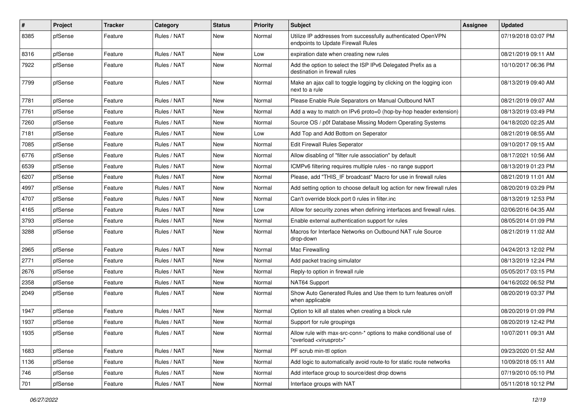| $\sharp$ | Project | Tracker | Category    | <b>Status</b> | <b>Priority</b> | Subject                                                                                                 | <b>Assignee</b> | <b>Updated</b>      |
|----------|---------|---------|-------------|---------------|-----------------|---------------------------------------------------------------------------------------------------------|-----------------|---------------------|
| 8385     | pfSense | Feature | Rules / NAT | <b>New</b>    | Normal          | Utilize IP addresses from successfully authenticated OpenVPN<br>endpoints to Update Firewall Rules      |                 | 07/19/2018 03:07 PM |
| 8316     | pfSense | Feature | Rules / NAT | <b>New</b>    | Low             | expiration date when creating new rules                                                                 |                 | 08/21/2019 09:11 AM |
| 7922     | pfSense | Feature | Rules / NAT | <b>New</b>    | Normal          | Add the option to select the ISP IPv6 Delegated Prefix as a<br>destination in firewall rules            |                 | 10/10/2017 06:36 PM |
| 7799     | pfSense | Feature | Rules / NAT | <b>New</b>    | Normal          | Make an ajax call to toggle logging by clicking on the logging icon<br>next to a rule                   |                 | 08/13/2019 09:40 AM |
| 7781     | pfSense | Feature | Rules / NAT | <b>New</b>    | Normal          | Please Enable Rule Separators on Manual Outbound NAT                                                    |                 | 08/21/2019 09:07 AM |
| 7761     | pfSense | Feature | Rules / NAT | <b>New</b>    | Normal          | Add a way to match on IPv6 proto=0 (hop-by-hop header extension)                                        |                 | 08/13/2019 03:49 PM |
| 7260     | pfSense | Feature | Rules / NAT | <b>New</b>    | Normal          | Source OS / p0f Database Missing Modern Operating Systems                                               |                 | 04/18/2020 02:25 AM |
| 7181     | pfSense | Feature | Rules / NAT | <b>New</b>    | Low             | Add Top and Add Bottom on Seperator                                                                     |                 | 08/21/2019 08:55 AM |
| 7085     | pfSense | Feature | Rules / NAT | <b>New</b>    | Normal          | <b>Edit Firewall Rules Seperator</b>                                                                    |                 | 09/10/2017 09:15 AM |
| 6776     | pfSense | Feature | Rules / NAT | <b>New</b>    | Normal          | Allow disabling of "filter rule association" by default                                                 |                 | 08/17/2021 10:56 AM |
| 6539     | pfSense | Feature | Rules / NAT | <b>New</b>    | Normal          | ICMPv6 filtering requires multiple rules - no range support                                             |                 | 08/13/2019 01:23 PM |
| 6207     | pfSense | Feature | Rules / NAT | <b>New</b>    | Normal          | Please, add "THIS_IF broadcast" Macro for use in firewall rules                                         |                 | 08/21/2019 11:01 AM |
| 4997     | pfSense | Feature | Rules / NAT | New           | Normal          | Add setting option to choose default log action for new firewall rules                                  |                 | 08/20/2019 03:29 PM |
| 4707     | pfSense | Feature | Rules / NAT | <b>New</b>    | Normal          | Can't override block port 0 rules in filter.inc                                                         |                 | 08/13/2019 12:53 PM |
| 4165     | pfSense | Feature | Rules / NAT | <b>New</b>    | Low             | Allow for security zones when defining interfaces and firewall rules.                                   |                 | 02/06/2016 04:35 AM |
| 3793     | pfSense | Feature | Rules / NAT | <b>New</b>    | Normal          | Enable external authentication support for rules                                                        |                 | 08/05/2014 01:09 PM |
| 3288     | pfSense | Feature | Rules / NAT | <b>New</b>    | Normal          | Macros for Interface Networks on Outbound NAT rule Source<br>drop-down                                  |                 | 08/21/2019 11:02 AM |
| 2965     | pfSense | Feature | Rules / NAT | <b>New</b>    | Normal          | Mac Firewalling                                                                                         |                 | 04/24/2013 12:02 PM |
| 2771     | pfSense | Feature | Rules / NAT | <b>New</b>    | Normal          | Add packet tracing simulator                                                                            |                 | 08/13/2019 12:24 PM |
| 2676     | pfSense | Feature | Rules / NAT | New           | Normal          | Reply-to option in firewall rule                                                                        |                 | 05/05/2017 03:15 PM |
| 2358     | pfSense | Feature | Rules / NAT | <b>New</b>    | Normal          | NAT64 Support                                                                                           |                 | 04/16/2022 06:52 PM |
| 2049     | pfSense | Feature | Rules / NAT | <b>New</b>    | Normal          | Show Auto Generated Rules and Use them to turn features on/off<br>when applicable                       |                 | 08/20/2019 03:37 PM |
| 1947     | pfSense | Feature | Rules / NAT | <b>New</b>    | Normal          | Option to kill all states when creating a block rule                                                    |                 | 08/20/2019 01:09 PM |
| 1937     | pfSense | Feature | Rules / NAT | <b>New</b>    | Normal          | Support for rule groupings                                                                              |                 | 08/20/2019 12:42 PM |
| 1935     | pfSense | Feature | Rules / NAT | <b>New</b>    | Normal          | Allow rule with max-src-conn-* options to make conditional use of<br>"overload <virusprot>"</virusprot> |                 | 10/07/2011 09:31 AM |
| 1683     | pfSense | Feature | Rules / NAT | New           | Normal          | PF scrub min-ttl option                                                                                 |                 | 09/23/2020 01:52 AM |
| 1136     | pfSense | Feature | Rules / NAT | New           | Normal          | Add logic to automatically avoid route-to for static route networks                                     |                 | 10/09/2018 05:11 AM |
| 746      | pfSense | Feature | Rules / NAT | New           | Normal          | Add interface group to source/dest drop downs                                                           |                 | 07/19/2010 05:10 PM |
| 701      | pfSense | Feature | Rules / NAT | New           | Normal          | Interface groups with NAT                                                                               |                 | 05/11/2018 10:12 PM |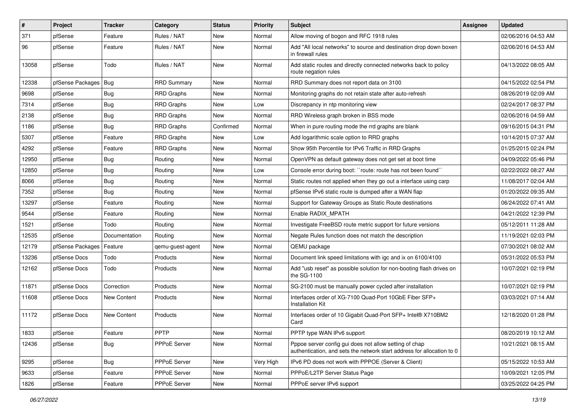| #     | Project          | <b>Tracker</b>     | Category           | <b>Status</b> | Priority  | Subject                                                                                                                          | <b>Assignee</b> | <b>Updated</b>      |
|-------|------------------|--------------------|--------------------|---------------|-----------|----------------------------------------------------------------------------------------------------------------------------------|-----------------|---------------------|
| 371   | pfSense          | Feature            | Rules / NAT        | New           | Normal    | Allow moving of bogon and RFC 1918 rules                                                                                         |                 | 02/06/2016 04:53 AM |
| 96    | pfSense          | Feature            | Rules / NAT        | <b>New</b>    | Normal    | Add "All local networks" to source and destination drop down boxen<br>in firewall rules                                          |                 | 02/06/2016 04:53 AM |
| 13058 | pfSense          | Todo               | Rules / NAT        | <b>New</b>    | Normal    | Add static routes and directly connected networks back to policy<br>route negation rules                                         |                 | 04/13/2022 08:05 AM |
| 12338 | pfSense Packages | Bug                | <b>RRD Summary</b> | New           | Normal    | RRD Summary does not report data on 3100                                                                                         |                 | 04/15/2022 02:54 PM |
| 9698  | pfSense          | Bug                | <b>RRD Graphs</b>  | New           | Normal    | Monitoring graphs do not retain state after auto-refresh                                                                         |                 | 08/26/2019 02:09 AM |
| 7314  | pfSense          | Bug                | <b>RRD Graphs</b>  | <b>New</b>    | Low       | Discrepancy in ntp monitoring view                                                                                               |                 | 02/24/2017 08:37 PM |
| 2138  | pfSense          | <b>Bug</b>         | <b>RRD Graphs</b>  | New           | Normal    | RRD Wireless graph broken in BSS mode                                                                                            |                 | 02/06/2016 04:59 AM |
| 1186  | pfSense          | <b>Bug</b>         | <b>RRD Graphs</b>  | Confirmed     | Normal    | When in pure routing mode the rrd graphs are blank                                                                               |                 | 09/16/2015 04:31 PM |
| 5307  | pfSense          | Feature            | <b>RRD Graphs</b>  | New           | Low       | Add logarithmic scale option to RRD graphs                                                                                       |                 | 10/14/2015 07:37 AM |
| 4292  | pfSense          | Feature            | <b>RRD Graphs</b>  | New           | Normal    | Show 95th Percentile for IPv6 Traffic in RRD Graphs                                                                              |                 | 01/25/2015 02:24 PM |
| 12950 | pfSense          | Bug                | Routing            | <b>New</b>    | Normal    | OpenVPN as default gateway does not get set at boot time                                                                         |                 | 04/09/2022 05:46 PM |
| 12850 | pfSense          | <b>Bug</b>         | Routing            | New           | Low       | Console error during boot: "route: route has not been found"                                                                     |                 | 02/22/2022 08:27 AM |
| 8066  | pfSense          | <b>Bug</b>         | Routing            | New           | Normal    | Static routes not applied when they go out a interface using carp                                                                |                 | 11/08/2017 02:04 AM |
| 7352  | pfSense          | Bug                | Routing            | <b>New</b>    | Normal    | pfSense IPv6 static route is dumped after a WAN flap                                                                             |                 | 01/20/2022 09:35 AM |
| 13297 | pfSense          | Feature            | Routing            | New           | Normal    | Support for Gateway Groups as Static Route destinations                                                                          |                 | 06/24/2022 07:41 AM |
| 9544  | pfSense          | Feature            | Routing            | <b>New</b>    | Normal    | Enable RADIX MPATH                                                                                                               |                 | 04/21/2022 12:39 PM |
| 1521  | pfSense          | Todo               | Routing            | New           | Normal    | Investigate FreeBSD route metric support for future versions                                                                     |                 | 05/12/2011 11:28 AM |
| 12535 | pfSense          | Documentation      | Routing            | New           | Normal    | Negate Rules function does not match the description                                                                             |                 | 11/19/2021 02:03 PM |
| 12179 | pfSense Packages | Feature            | qemu-guest-agent   | New           | Normal    | QEMU package                                                                                                                     |                 | 07/30/2021 08:02 AM |
| 13236 | pfSense Docs     | Todo               | Products           | New           | Normal    | Document link speed limitations with igc and ix on 6100/4100                                                                     |                 | 05/31/2022 05:53 PM |
| 12162 | pfSense Docs     | Todo               | Products           | <b>New</b>    | Normal    | Add "usb reset" as possible solution for non-booting flash drives on<br>the SG-1100                                              |                 | 10/07/2021 02:19 PM |
| 11871 | pfSense Docs     | Correction         | Products           | New           | Normal    | SG-2100 must be manually power cycled after installation                                                                         |                 | 10/07/2021 02:19 PM |
| 11608 | pfSense Docs     | New Content        | Products           | New           | Normal    | Interfaces order of XG-7100 Quad-Port 10GbE Fiber SFP+<br><b>Installation Kit</b>                                                |                 | 03/03/2021 07:14 AM |
| 11172 | pfSense Docs     | <b>New Content</b> | Products           | New           | Normal    | Interfaces order of 10 Gigabit Quad-Port SFP+ Intel® X710BM2<br>Card                                                             |                 | 12/18/2020 01:28 PM |
| 1833  | pfSense          | Feature            | <b>PPTP</b>        | New           | Normal    | PPTP type WAN IPv6 support                                                                                                       |                 | 08/20/2019 10:12 AM |
| 12436 | pfSense          | Bug                | PPPoE Server       | New           | Normal    | Pppoe server config gui does not allow setting of chap<br>authentication, and sets the network start address for allocation to 0 |                 | 10/21/2021 08:15 AM |
| 9295  | pfSense          | Bug                | PPPoE Server       | New           | Very High | IPv6 PD does not work with PPPOE (Server & Client)                                                                               |                 | 05/15/2022 10:53 AM |
| 9633  | pfSense          | Feature            | PPPoE Server       | New           | Normal    | PPPoE/L2TP Server Status Page                                                                                                    |                 | 10/09/2021 12:05 PM |
| 1826  | pfSense          | Feature            | PPPoE Server       | New           | Normal    | PPPoE server IPv6 support                                                                                                        |                 | 03/25/2022 04:25 PM |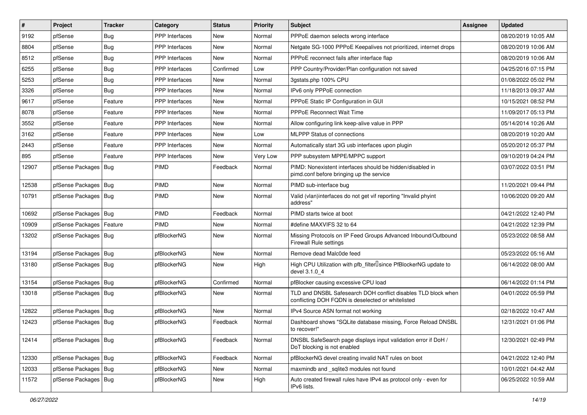| $\vert$ # | Project                | <b>Tracker</b> | Category              | <b>Status</b> | <b>Priority</b> | <b>Subject</b>                                                                                                     | <b>Assignee</b> | <b>Updated</b>      |
|-----------|------------------------|----------------|-----------------------|---------------|-----------------|--------------------------------------------------------------------------------------------------------------------|-----------------|---------------------|
| 9192      | pfSense                | <b>Bug</b>     | PPP Interfaces        | New           | Normal          | PPPoE daemon selects wrong interface                                                                               |                 | 08/20/2019 10:05 AM |
| 8804      | pfSense                | Bug            | <b>PPP</b> Interfaces | <b>New</b>    | Normal          | Netgate SG-1000 PPPoE Keepalives not prioritized, internet drops                                                   |                 | 08/20/2019 10:06 AM |
| 8512      | pfSense                | <b>Bug</b>     | <b>PPP</b> Interfaces | New           | Normal          | PPPoE reconnect fails after interface flap                                                                         |                 | 08/20/2019 10:06 AM |
| 6255      | pfSense                | <b>Bug</b>     | <b>PPP</b> Interfaces | Confirmed     | Low             | PPP Country/Provider/Plan configuration not saved                                                                  |                 | 04/25/2016 07:15 PM |
| 5253      | pfSense                | <b>Bug</b>     | PPP Interfaces        | <b>New</b>    | Normal          | 3gstats.php 100% CPU                                                                                               |                 | 01/08/2022 05:02 PM |
| 3326      | pfSense                | <b>Bug</b>     | PPP Interfaces        | <b>New</b>    | Normal          | IPv6 only PPPoE connection                                                                                         |                 | 11/18/2013 09:37 AM |
| 9617      | pfSense                | Feature        | <b>PPP</b> Interfaces | New           | Normal          | PPPoE Static IP Configuration in GUI                                                                               |                 | 10/15/2021 08:52 PM |
| 8078      | pfSense                | Feature        | <b>PPP</b> Interfaces | <b>New</b>    | Normal          | <b>PPPoE Reconnect Wait Time</b>                                                                                   |                 | 11/09/2017 05:13 PM |
| 3552      | pfSense                | Feature        | <b>PPP</b> Interfaces | New           | Normal          | Allow configuring link keep-alive value in PPP                                                                     |                 | 05/14/2014 10:26 AM |
| 3162      | pfSense                | Feature        | PPP Interfaces        | <b>New</b>    | Low             | <b>MLPPP Status of connections</b>                                                                                 |                 | 08/20/2019 10:20 AM |
| 2443      | pfSense                | Feature        | <b>PPP</b> Interfaces | New           | Normal          | Automatically start 3G usb interfaces upon plugin                                                                  |                 | 05/20/2012 05:37 PM |
| 895       | pfSense                | Feature        | <b>PPP</b> Interfaces | New           | Very Low        | PPP subsystem MPPE/MPPC support                                                                                    |                 | 09/10/2019 04:24 PM |
| 12907     | pfSense Packages       | Bug            | <b>PIMD</b>           | Feedback      | Normal          | PIMD: Nonexistent interfaces should be hidden/disabled in<br>pimd.conf before bringing up the service              |                 | 03/07/2022 03:51 PM |
| 12538     | pfSense Packages   Bug |                | PIMD                  | <b>New</b>    | Normal          | PIMD sub-interface bug                                                                                             |                 | 11/20/2021 09:44 PM |
| 10791     | pfSense Packages   Bug |                | <b>PIMD</b>           | New           | Normal          | Valid (vlan)interfaces do not get vif reporting "Invalid phyint<br>address"                                        |                 | 10/06/2020 09:20 AM |
| 10692     | pfSense Packages   Bug |                | PIMD                  | Feedback      | Normal          | PIMD starts twice at boot                                                                                          |                 | 04/21/2022 12:40 PM |
| 10909     | pfSense Packages       | Feature        | <b>PIMD</b>           | New           | Normal          | #define MAXVIFS 32 to 64                                                                                           |                 | 04/21/2022 12:39 PM |
| 13202     | pfSense Packages   Bug |                | pfBlockerNG           | New           | Normal          | Missing Protocols on IP Feed Groups Advanced Inbound/Outbound<br>Firewall Rule settings                            |                 | 05/23/2022 08:58 AM |
| 13194     | pfSense Packages   Bug |                | pfBlockerNG           | <b>New</b>    | Normal          | Remove dead Malc0de feed                                                                                           |                 | 05/23/2022 05:16 AM |
| 13180     | pfSense Packages   Bug |                | pfBlockerNG           | New           | High            | High CPU Utilization with pfb_filterlsince PfBlockerNG update to<br>devel 3.1.0 4                                  |                 | 06/14/2022 08:00 AM |
| 13154     | pfSense Packages   Bug |                | pfBlockerNG           | Confirmed     | Normal          | pfBlocker causing excessive CPU load                                                                               |                 | 06/14/2022 01:14 PM |
| 13018     | pfSense Packages   Bug |                | pfBlockerNG           | New           | Normal          | TLD and DNSBL Safesearch DOH conflict disables TLD block when<br>conflicting DOH FQDN is deselected or whitelisted |                 | 04/01/2022 05:59 PM |
| 12822     | pfSense Packages   Bug |                | pfBlockerNG           | <b>New</b>    | Normal          | IPv4 Source ASN format not working                                                                                 |                 | 02/18/2022 10:47 AM |
| 12423     | pfSense Packages   Bug |                | pfBlockerNG           | Feedback      | Normal          | Dashboard shows "SQLite database missing, Force Reload DNSBL<br>to recover!"                                       |                 | 12/31/2021 01:06 PM |
| 12414     | pfSense Packages   Bug |                | pfBlockerNG           | Feedback      | Normal          | DNSBL SafeSearch page displays input validation error if DoH /<br>DoT blocking is not enabled                      |                 | 12/30/2021 02:49 PM |
| 12330     | pfSense Packages   Bug |                | pfBlockerNG           | Feedback      | Normal          | pfBlockerNG devel creating invalid NAT rules on boot                                                               |                 | 04/21/2022 12:40 PM |
| 12033     | pfSense Packages   Bug |                | pfBlockerNG           | New           | Normal          | maxmindb and _sqlite3 modules not found                                                                            |                 | 10/01/2021 04:42 AM |
| 11572     | pfSense Packages   Bug |                | pfBlockerNG           | New           | High            | Auto created firewall rules have IPv4 as protocol only - even for<br>IPv6 lists.                                   |                 | 06/25/2022 10:59 AM |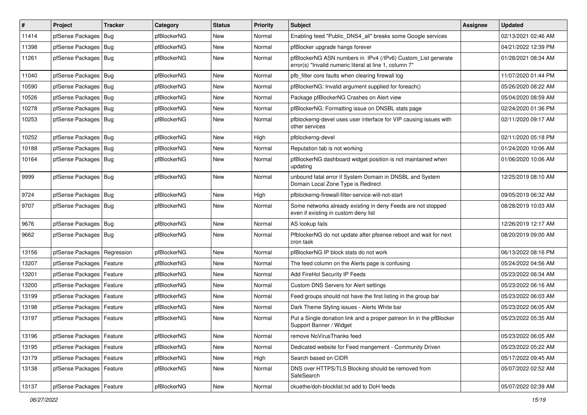| $\vert$ # | Project                    | <b>Tracker</b> | Category    | <b>Status</b> | <b>Priority</b> | <b>Subject</b>                                                                                                         | <b>Assignee</b> | <b>Updated</b>      |
|-----------|----------------------------|----------------|-------------|---------------|-----------------|------------------------------------------------------------------------------------------------------------------------|-----------------|---------------------|
| 11414     | pfSense Packages           | Bug            | pfBlockerNG | New           | Normal          | Enabling feed "Public DNS4 all" breaks some Google services                                                            |                 | 02/13/2021 02:46 AM |
| 11398     | pfSense Packages   Bug     |                | pfBlockerNG | <b>New</b>    | Normal          | pfBlocker upgrade hangs forever                                                                                        |                 | 04/21/2022 12:39 PM |
| 11261     | pfSense Packages   Bug     |                | pfBlockerNG | New           | Normal          | pfBlockerNG ASN numbers in IPv4 (/IPv6) Custom_List generate<br>error(s) "Invalid numeric literal at line 1, column 7" |                 | 01/28/2021 08:34 AM |
| 11040     | pfSense Packages   Bug     |                | pfBlockerNG | <b>New</b>    | Normal          | pfb filter core faults when clearing firewall log                                                                      |                 | 11/07/2020 01:44 PM |
| 10590     | pfSense Packages   Bug     |                | pfBlockerNG | New           | Normal          | pfBlockerNG: Invalid argument supplied for foreach()                                                                   |                 | 05/26/2020 08:22 AM |
| 10526     | pfSense Packages   Bug     |                | pfBlockerNG | New           | Normal          | Package pfBlockerNG Crashes on Alert view                                                                              |                 | 05/04/2020 08:59 AM |
| 10278     | pfSense Packages           | Bug            | pfBlockerNG | <b>New</b>    | Normal          | pfBlockerNG: Formatting issue on DNSBL stats page                                                                      |                 | 02/24/2020 01:36 PM |
| 10253     | pfSense Packages   Bug     |                | pfBlockerNG | New           | Normal          | pfblockerng-devel uses user interface for VIP causing issues with<br>other services                                    |                 | 02/11/2020 09:17 AM |
| 10252     | pfSense Packages   Bug     |                | pfBlockerNG | <b>New</b>    | High            | pfblockerng-devel                                                                                                      |                 | 02/11/2020 05:18 PM |
| 10188     | pfSense Packages   Bug     |                | pfBlockerNG | <b>New</b>    | Normal          | Reputation tab is not working                                                                                          |                 | 01/24/2020 10:06 AM |
| 10164     | pfSense Packages   Bug     |                | pfBlockerNG | <b>New</b>    | Normal          | pfBlockerNG dashboard widget position is not maintained when<br>updating                                               |                 | 01/06/2020 10:06 AM |
| 9999      | pfSense Packages   Bug     |                | pfBlockerNG | New           | Normal          | unbound fatal error if System Domain in DNSBL and System<br>Domain Local Zone Type is Redirect                         |                 | 12/25/2019 08:10 AM |
| 9724      | pfSense Packages   Bug     |                | pfBlockerNG | New           | High            | pfblockerng-firewall-filter-service-will-not-start                                                                     |                 | 09/05/2019 06:32 AM |
| 9707      | pfSense Packages   Bug     |                | pfBlockerNG | New           | Normal          | Some networks already existing in deny Feeds are not stopped<br>even if existing in custom deny list                   |                 | 08/28/2019 10:03 AM |
| 9676      | pfSense Packages   Bug     |                | pfBlockerNG | <b>New</b>    | Normal          | AS lookup fails                                                                                                        |                 | 12/26/2019 12:17 AM |
| 9662      | pfSense Packages   Bug     |                | pfBlockerNG | New           | Normal          | PfblockerNG do not update after pfsense reboot and wait for next<br>cron task                                          |                 | 08/20/2019 09:00 AM |
| 13156     | pfSense Packages           | Regression     | pfBlockerNG | <b>New</b>    | Normal          | pfBlockerNG IP block stats do not work                                                                                 |                 | 06/13/2022 08:16 PM |
| 13207     | pfSense Packages           | Feature        | pfBlockerNG | <b>New</b>    | Normal          | The feed column on the Alerts page is confusing                                                                        |                 | 05/24/2022 04:56 AM |
| 13201     | pfSense Packages   Feature |                | pfBlockerNG | New           | Normal          | Add FireHol Security IP Feeds                                                                                          |                 | 05/23/2022 06:34 AM |
| 13200     | pfSense Packages           | Feature        | pfBlockerNG | <b>New</b>    | Normal          | <b>Custom DNS Servers for Alert settings</b>                                                                           |                 | 05/23/2022 06:16 AM |
| 13199     | pfSense Packages           | Feature        | pfBlockerNG | New           | Normal          | Feed groups should not have the first listing in the group bar                                                         |                 | 05/23/2022 06:03 AM |
| 13198     | pfSense Packages   Feature |                | pfBlockerNG | New           | Normal          | Dark Theme Styling issues - Alerts White bar                                                                           |                 | 05/23/2022 06:05 AM |
| 13197     | pfSense Packages           | Feature        | pfBlockerNG | New           | Normal          | Put a Single donation link and a proper patreon lin in the pfBlocker<br>Support Banner / Widget                        |                 | 05/23/2022 05:35 AM |
| 13196     | pfSense Packages   Feature |                | pfBlockerNG | New           | Normal          | remove NoVirusThanks feed                                                                                              |                 | 05/23/2022 06:05 AM |
| 13195     | pfSense Packages   Feature |                | pfBlockerNG | <b>New</b>    | Normal          | Dedicated website for Feed mangement - Community Driven                                                                |                 | 05/23/2022 05:22 AM |
| 13179     | pfSense Packages   Feature |                | pfBlockerNG | New           | High            | Search based on CIDR                                                                                                   |                 | 05/17/2022 09:45 AM |
| 13138     | pfSense Packages   Feature |                | pfBlockerNG | New           | Normal          | DNS over HTTPS/TLS Blocking should be removed from<br>SafeSearch                                                       |                 | 05/07/2022 02:52 AM |
| 13137     | pfSense Packages   Feature |                | pfBlockerNG | New           | Normal          | ckuethe/doh-blocklist.txt add to DoH feeds                                                                             |                 | 05/07/2022 02:39 AM |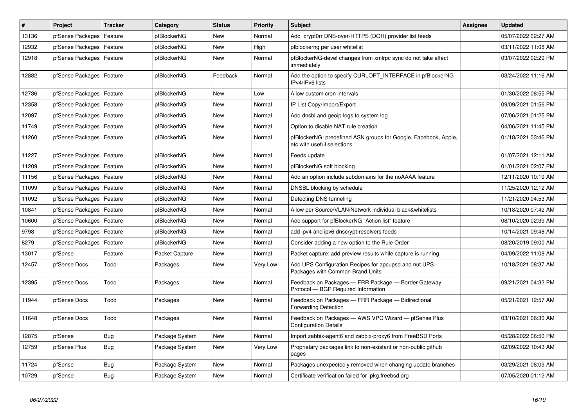| #     | <b>Project</b>             | <b>Tracker</b> | Category       | <b>Status</b> | <b>Priority</b> | <b>Subject</b>                                                                                | <b>Assignee</b> | <b>Updated</b>      |
|-------|----------------------------|----------------|----------------|---------------|-----------------|-----------------------------------------------------------------------------------------------|-----------------|---------------------|
| 13136 | pfSense Packages           | Feature        | pfBlockerNG    | <b>New</b>    | Normal          | Add crypt0rr DNS-over-HTTPS (DOH) provider list feeds                                         |                 | 05/07/2022 02:27 AM |
| 12932 | pfSense Packages           | Feature        | pfBlockerNG    | <b>New</b>    | High            | pfblockerng per user whitelist                                                                |                 | 03/11/2022 11:08 AM |
| 12918 | pfSense Packages           | Feature        | pfBlockerNG    | New           | Normal          | pfBlockerNG-devel changes from xmlrpc sync do not take effect<br>immediately                  |                 | 03/07/2022 02:29 PM |
| 12882 | pfSense Packages   Feature |                | pfBlockerNG    | Feedback      | Normal          | Add the option to specify CURLOPT_INTERFACE in pfBlockerNG<br>IPv4/IPv6 lists                 |                 | 03/24/2022 11:16 AM |
| 12736 | pfSense Packages   Feature |                | pfBlockerNG    | <b>New</b>    | Low             | Allow custom cron intervals                                                                   |                 | 01/30/2022 08:55 PM |
| 12358 | pfSense Packages           | Feature        | pfBlockerNG    | <b>New</b>    | Normal          | IP List Copy/Import/Export                                                                    |                 | 09/09/2021 01:56 PM |
| 12097 | pfSense Packages           | Feature        | pfBlockerNG    | <b>New</b>    | Normal          | Add dnsbl and geoip logs to system log                                                        |                 | 07/06/2021 01:25 PM |
| 11749 | pfSense Packages           | Feature        | pfBlockerNG    | <b>New</b>    | Normal          | Option to disable NAT rule creation                                                           |                 | 04/06/2021 11:45 PM |
| 11260 | pfSense Packages   Feature |                | pfBlockerNG    | <b>New</b>    | Normal          | pfBlockerNG: predefined ASN groups for Google, Facebook, Apple,<br>etc with useful selections |                 | 01/18/2021 03:46 PM |
| 11227 | pfSense Packages           | Feature        | pfBlockerNG    | <b>New</b>    | Normal          | Feeds update                                                                                  |                 | 01/07/2021 12:11 AM |
| 11209 | pfSense Packages           | Feature        | pfBlockerNG    | <b>New</b>    | Normal          | pfBlockerNG soft blocking                                                                     |                 | 01/01/2021 02:07 PM |
| 11156 | pfSense Packages           | Feature        | pfBlockerNG    | <b>New</b>    | Normal          | Add an option include subdomains for the noAAAA feature                                       |                 | 12/11/2020 10:19 AM |
| 11099 | pfSense Packages   Feature |                | pfBlockerNG    | <b>New</b>    | Normal          | DNSBL blocking by schedule                                                                    |                 | 11/25/2020 12:12 AM |
| 11092 | pfSense Packages           | Feature        | pfBlockerNG    | <b>New</b>    | Normal          | Detecting DNS tunneling                                                                       |                 | 11/21/2020 04:53 AM |
| 10841 | pfSense Packages           | Feature        | pfBlockerNG    | <b>New</b>    | Normal          | Allow per Source/VLAN/Network individual black&whitelists                                     |                 | 10/18/2020 07:42 AM |
| 10600 | pfSense Packages           | Feature        | pfBlockerNG    | <b>New</b>    | Normal          | Add support for pfBlockerNG "Action list" feature                                             |                 | 08/10/2020 02:39 AM |
| 9798  | pfSense Packages           | Feature        | pfBlockerNG    | <b>New</b>    | Normal          | add ipv4 and ipv6 dnscrypt-resolvers feeds                                                    |                 | 10/14/2021 09:48 AM |
| 8279  | pfSense Packages           | Feature        | pfBlockerNG    | <b>New</b>    | Normal          | Consider adding a new option to the Rule Order                                                |                 | 08/20/2019 09:00 AM |
| 13017 | pfSense                    | Feature        | Packet Capture | <b>New</b>    | Normal          | Packet capture: add preview results while capture is running                                  |                 | 04/09/2022 11:08 AM |
| 12457 | pfSense Docs               | Todo           | Packages       | <b>New</b>    | Very Low        | Add UPS Configuration Recipes for apcupsd and nut UPS<br>Packages with Common Brand Units     |                 | 10/18/2021 08:37 AM |
| 12395 | pfSense Docs               | Todo           | Packages       | <b>New</b>    | Normal          | Feedback on Packages - FRR Package - Border Gateway<br>Protocol - BGP Required Information    |                 | 09/21/2021 04:32 PM |
| 11944 | pfSense Docs               | Todo           | Packages       | New           | Normal          | Feedback on Packages - FRR Package - Bidirectional<br><b>Forwarding Detection</b>             |                 | 05/21/2021 12:57 AM |
| 11648 | pfSense Docs               | Todo           | Packages       | <b>New</b>    | Normal          | Feedback on Packages - AWS VPC Wizard - pfSense Plus<br><b>Configuration Details</b>          |                 | 03/10/2021 06:30 AM |
| 12875 | pfSense                    | Bug            | Package System | <b>New</b>    | Normal          | Import zabbix-agent6 and zabbix-proxy6 from FreeBSD Ports                                     |                 | 05/28/2022 06:50 PM |
| 12759 | pfSense Plus               | <b>Bug</b>     | Package System | <b>New</b>    | Very Low        | Proprietary packages link to non-existant or non-public github<br>pages                       |                 | 02/09/2022 10:43 AM |
| 11724 | pfSense                    | <b>Bug</b>     | Package System | <b>New</b>    | Normal          | Packages unexpectedly removed when changing update branches                                   |                 | 03/29/2021 08:09 AM |
| 10729 | pfSense                    | <b>Bug</b>     | Package System | <b>New</b>    | Normal          | Certificate verification failed for pkg.freebsd.org                                           |                 | 07/05/2020 01:12 AM |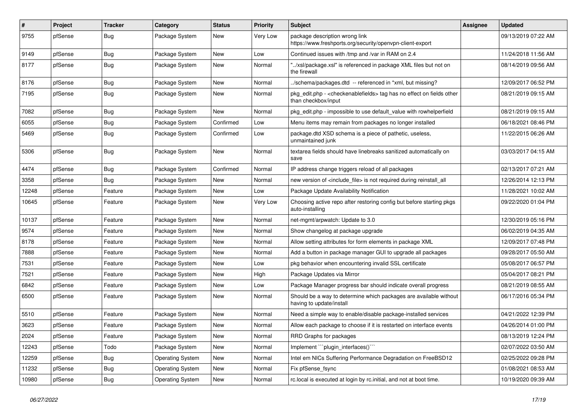| #     | Project | <b>Tracker</b> | Category                | <b>Status</b> | <b>Priority</b> | Subject                                                                                                          | Assignee | Updated             |
|-------|---------|----------------|-------------------------|---------------|-----------------|------------------------------------------------------------------------------------------------------------------|----------|---------------------|
| 9755  | pfSense | <b>Bug</b>     | Package System          | New           | Very Low        | package description wrong link<br>https://www.freshports.org/security/openvpn-client-export                      |          | 09/13/2019 07:22 AM |
| 9149  | pfSense | <b>Bug</b>     | Package System          | New           | Low             | Continued issues with /tmp and /var in RAM on 2.4                                                                |          | 11/24/2018 11:56 AM |
| 8177  | pfSense | <b>Bug</b>     | Package System          | New           | Normal          | "/xsl/package.xsl" is referenced in package XML files but not on<br>the firewall                                 |          | 08/14/2019 09:56 AM |
| 8176  | pfSense | <b>Bug</b>     | Package System          | New           | Normal          | ./schema/packages.dtd -- referenced in *xml, but missing?                                                        |          | 12/09/2017 06:52 PM |
| 7195  | pfSense | Bug            | Package System          | <b>New</b>    | Normal          | pkg_edit.php - <checkenablefields> tag has no effect on fields other<br/>than checkbox/input</checkenablefields> |          | 08/21/2019 09:15 AM |
| 7082  | pfSense | <b>Bug</b>     | Package System          | <b>New</b>    | Normal          | pkg_edit.php - impossible to use default_value with rowhelperfield                                               |          | 08/21/2019 09:15 AM |
| 6055  | pfSense | <b>Bug</b>     | Package System          | Confirmed     | Low             | Menu items may remain from packages no longer installed                                                          |          | 06/18/2021 08:46 PM |
| 5469  | pfSense | <b>Bug</b>     | Package System          | Confirmed     | Low             | package.dtd XSD schema is a piece of pathetic, useless,<br>unmaintained junk                                     |          | 11/22/2015 06:26 AM |
| 5306  | pfSense | <b>Bug</b>     | Package System          | <b>New</b>    | Normal          | textarea fields should have linebreaks sanitized automatically on<br>save                                        |          | 03/03/2017 04:15 AM |
| 4474  | pfSense | <b>Bug</b>     | Package System          | Confirmed     | Normal          | IP address change triggers reload of all packages                                                                |          | 02/13/2017 07:21 AM |
| 3358  | pfSense | Bug            | Package System          | <b>New</b>    | Normal          | new version of <include file=""> is not required during reinstall all</include>                                  |          | 12/26/2014 12:13 PM |
| 12248 | pfSense | Feature        | Package System          | <b>New</b>    | Low             | Package Update Availability Notification                                                                         |          | 11/28/2021 10:02 AM |
| 10645 | pfSense | Feature        | Package System          | <b>New</b>    | Very Low        | Choosing active repo after restoring config but before starting pkgs<br>auto-installing                          |          | 09/22/2020 01:04 PM |
| 10137 | pfSense | Feature        | Package System          | <b>New</b>    | Normal          | net-mamt/arpwatch: Update to 3.0                                                                                 |          | 12/30/2019 05:16 PM |
| 9574  | pfSense | Feature        | Package System          | <b>New</b>    | Normal          | Show changelog at package upgrade                                                                                |          | 06/02/2019 04:35 AM |
| 8178  | pfSense | Feature        | Package System          | New           | Normal          | Allow setting attributes for form elements in package XML                                                        |          | 12/09/2017 07:48 PM |
| 7888  | pfSense | Feature        | Package System          | <b>New</b>    | Normal          | Add a button in package manager GUI to upgrade all packages                                                      |          | 09/28/2017 05:50 AM |
| 7531  | pfSense | Feature        | Package System          | New           | Low             | pkg behavior when encountering invalid SSL certificate                                                           |          | 05/08/2017 06:57 PM |
| 7521  | pfSense | Feature        | Package System          | <b>New</b>    | High            | Package Updates via Mirror                                                                                       |          | 05/04/2017 08:21 PM |
| 6842  | pfSense | Feature        | Package System          | <b>New</b>    | Low             | Package Manager progress bar should indicate overall progress                                                    |          | 08/21/2019 08:55 AM |
| 6500  | pfSense | Feature        | Package System          | <b>New</b>    | Normal          | Should be a way to determine which packages are available without<br>having to update/install                    |          | 06/17/2016 05:34 PM |
| 5510  | pfSense | Feature        | Package System          | <b>New</b>    | Normal          | Need a simple way to enable/disable package-installed services                                                   |          | 04/21/2022 12:39 PM |
| 3623  | pfSense | Feature        | Package System          | New           | Normal          | Allow each package to choose if it is restarted on interface events                                              |          | 04/26/2014 01:00 PM |
| 2024  | pfSense | Feature        | Package System          | New           | Normal          | RRD Graphs for packages                                                                                          |          | 08/13/2019 12:24 PM |
| 12243 | pfSense | Todo           | Package System          | New           | Normal          | Implement "`plugin_interfaces()`"                                                                                |          | 02/07/2022 03:50 AM |
| 12259 | pfSense | <b>Bug</b>     | <b>Operating System</b> | New           | Normal          | Intel em NICs Suffering Performance Degradation on FreeBSD12                                                     |          | 02/25/2022 09:28 PM |
| 11232 | pfSense | <b>Bug</b>     | <b>Operating System</b> | New           | Normal          | Fix pfSense_fsync                                                                                                |          | 01/08/2021 08:53 AM |
| 10980 | pfSense | Bug            | <b>Operating System</b> | New           | Normal          | rc.local is executed at login by rc.initial, and not at boot time.                                               |          | 10/19/2020 09:39 AM |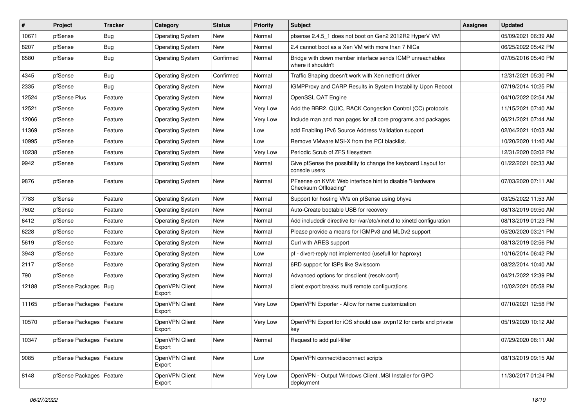| $\vert$ # | Project                    | <b>Tracker</b> | Category                 | <b>Status</b> | <b>Priority</b> | Subject                                                                         | <b>Assignee</b> | <b>Updated</b>      |
|-----------|----------------------------|----------------|--------------------------|---------------|-----------------|---------------------------------------------------------------------------------|-----------------|---------------------|
| 10671     | pfSense                    | <b>Bug</b>     | <b>Operating System</b>  | <b>New</b>    | Normal          | pfsense 2.4.5 1 does not boot on Gen2 2012R2 HyperV VM                          |                 | 05/09/2021 06:39 AM |
| 8207      | pfSense                    | Bug            | <b>Operating System</b>  | New           | Normal          | 2.4 cannot boot as a Xen VM with more than 7 NICs                               |                 | 06/25/2022 05:42 PM |
| 6580      | pfSense                    | Bug            | <b>Operating System</b>  | Confirmed     | Normal          | Bridge with down member interface sends ICMP unreachables<br>where it shouldn't |                 | 07/05/2016 05:40 PM |
| 4345      | pfSense                    | <b>Bug</b>     | <b>Operating System</b>  | Confirmed     | Normal          | Traffic Shaping doesn't work with Xen netfront driver                           |                 | 12/31/2021 05:30 PM |
| 2335      | pfSense                    | <b>Bug</b>     | <b>Operating System</b>  | New           | Normal          | IGMPProxy and CARP Results in System Instability Upon Reboot                    |                 | 07/19/2014 10:25 PM |
| 12524     | pfSense Plus               | Feature        | <b>Operating System</b>  | New           | Normal          | OpenSSL QAT Engine                                                              |                 | 04/10/2022 02:54 AM |
| 12521     | pfSense                    | Feature        | <b>Operating System</b>  | <b>New</b>    | Very Low        | Add the BBR2, QUIC, RACK Congestion Control (CC) protocols                      |                 | 11/15/2021 07:40 AM |
| 12066     | pfSense                    | Feature        | <b>Operating System</b>  | New           | Very Low        | Include man and man pages for all core programs and packages                    |                 | 06/21/2021 07:44 AM |
| 11369     | pfSense                    | Feature        | <b>Operating System</b>  | <b>New</b>    | Low             | add Enabling IPv6 Source Address Validation support                             |                 | 02/04/2021 10:03 AM |
| 10995     | pfSense                    | Feature        | <b>Operating System</b>  | <b>New</b>    | Low             | Remove VMware MSI-X from the PCI blacklist.                                     |                 | 10/20/2020 11:40 AM |
| 10238     | pfSense                    | Feature        | <b>Operating System</b>  | New           | Very Low        | Periodic Scrub of ZFS filesystem                                                |                 | 12/31/2020 03:02 PM |
| 9942      | pfSense                    | Feature        | <b>Operating System</b>  | <b>New</b>    | Normal          | Give pfSense the possibility to change the keyboard Layout for<br>console users |                 | 01/22/2021 02:33 AM |
| 9876      | pfSense                    | Feature        | <b>Operating System</b>  | <b>New</b>    | Normal          | PFsense on KVM: Web interface hint to disable "Hardware<br>Checksum Offloading" |                 | 07/03/2020 07:11 AM |
| 7783      | pfSense                    | Feature        | <b>Operating System</b>  | <b>New</b>    | Normal          | Support for hosting VMs on pfSense using bhyve                                  |                 | 03/25/2022 11:53 AM |
| 7602      | pfSense                    | Feature        | <b>Operating System</b>  | <b>New</b>    | Normal          | Auto-Create bootable USB for recovery                                           |                 | 08/13/2019 09:50 AM |
| 6412      | pfSense                    | Feature        | <b>Operating System</b>  | <b>New</b>    | Normal          | Add includedir directive for /var/etc/xinet.d to xinetd configuration           |                 | 08/13/2019 01:23 PM |
| 6228      | pfSense                    | Feature        | <b>Operating System</b>  | New           | Normal          | Please provide a means for IGMPv3 and MLDv2 support                             |                 | 05/20/2020 03:21 PM |
| 5619      | pfSense                    | Feature        | <b>Operating System</b>  | <b>New</b>    | Normal          | Curl with ARES support                                                          |                 | 08/13/2019 02:56 PM |
| 3943      | pfSense                    | Feature        | <b>Operating System</b>  | <b>New</b>    | Low             | pf - divert-reply not implemented (usefull for haproxy)                         |                 | 10/16/2014 06:42 PM |
| 2117      | pfSense                    | Feature        | <b>Operating System</b>  | <b>New</b>    | Normal          | 6RD support for ISPs like Swisscom                                              |                 | 08/22/2014 10:40 AM |
| 790       | pfSense                    | Feature        | <b>Operating System</b>  | <b>New</b>    | Normal          | Advanced options for dnsclient (resolv.conf)                                    |                 | 04/21/2022 12:39 PM |
| 12188     | pfSense Packages           | Bug            | OpenVPN Client<br>Export | New           | Normal          | client export breaks multi remote configurations                                |                 | 10/02/2021 05:58 PM |
| 11165     | pfSense Packages   Feature |                | OpenVPN Client<br>Export | <b>New</b>    | Very Low        | OpenVPN Exporter - Allow for name customization                                 |                 | 07/10/2021 12:58 PM |
| 10570     | pfSense Packages   Feature |                | OpenVPN Client<br>Export | <b>New</b>    | Very Low        | OpenVPN Export for iOS should use .ovpn12 for certs and private<br>key          |                 | 05/19/2020 10:12 AM |
| 10347     | pfSense Packages   Feature |                | OpenVPN Client<br>Export | New           | Normal          | Request to add pull-filter                                                      |                 | 07/29/2020 08:11 AM |
| 9085      | pfSense Packages   Feature |                | OpenVPN Client<br>Export | New           | Low             | OpenVPN connect/disconnect scripts                                              |                 | 08/13/2019 09:15 AM |
| 8148      | pfSense Packages   Feature |                | OpenVPN Client<br>Export | New           | Very Low        | OpenVPN - Output Windows Client .MSI Installer for GPO<br>deployment            |                 | 11/30/2017 01:24 PM |